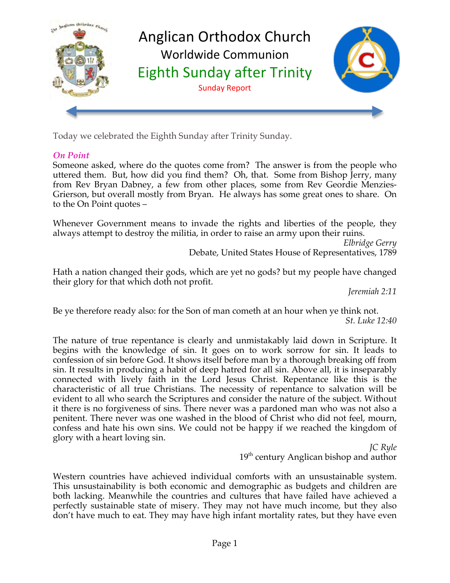

Today we celebrated the Eighth Sunday after Trinity Sunday.

## *On Point*

Someone asked, where do the quotes come from? The answer is from the people who uttered them. But, how did you find them? Oh, that. Some from Bishop Jerry, many from Rev Bryan Dabney, a few from other places, some from Rev Geordie Menzies-Grierson, but overall mostly from Bryan. He always has some great ones to share. On to the On Point quotes –

Whenever Government means to invade the rights and liberties of the people, they always attempt to destroy the militia, in order to raise an army upon their ruins.

*Elbridge Gerry* Debate, United States House of Representatives, 1789

Hath a nation changed their gods, which are yet no gods? but my people have changed their glory for that which doth not profit.

*Jeremiah 2:11*

Be ye therefore ready also: for the Son of man cometh at an hour when ye think not. *St. Luke 12:40*

The nature of true repentance is clearly and unmistakably laid down in Scripture. It begins with the knowledge of sin. It goes on to work sorrow for sin. It leads to confession of sin before God. It shows itself before man by a thorough breaking off from sin. It results in producing a habit of deep hatred for all sin. Above all, it is inseparably connected with lively faith in the Lord Jesus Christ. Repentance like this is the characteristic of all true Christians. The necessity of repentance to salvation will be evident to all who search the Scriptures and consider the nature of the subject. Without it there is no forgiveness of sins. There never was a pardoned man who was not also a penitent. There never was one washed in the blood of Christ who did not feel, mourn, confess and hate his own sins. We could not be happy if we reached the kingdom of glory with a heart loving sin.

*JC Ryle* 19<sup>th</sup> century Anglican bishop and author

Western countries have achieved individual comforts with an unsustainable system. This unsustainability is both economic and demographic as budgets and children are both lacking. Meanwhile the countries and cultures that have failed have achieved a perfectly sustainable state of misery. They may not have much income, but they also don't have much to eat. They may have high infant mortality rates, but they have even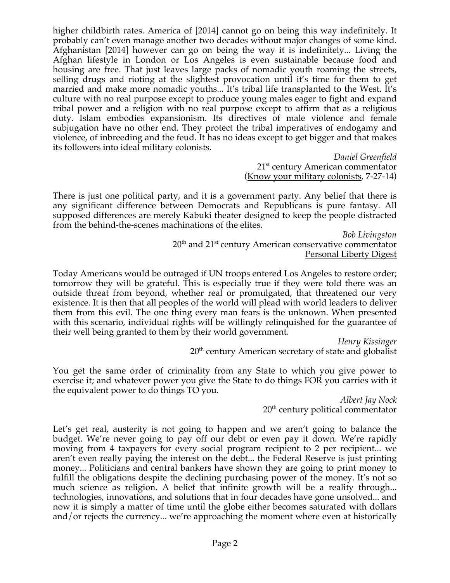higher childbirth rates. America of [2014] cannot go on being this way indefinitely. It probably can't even manage another two decades without major changes of some kind. Afghanistan [2014] however can go on being the way it is indefinitely... Living the Afghan lifestyle in London or Los Angeles is even sustainable because food and housing are free. That just leaves large packs of nomadic youth roaming the streets, selling drugs and rioting at the slightest provocation until it's time for them to get married and make more nomadic youths... It's tribal life transplanted to the West. It's culture with no real purpose except to produce young males eager to fight and expand tribal power and a religion with no real purpose except to affirm that as a religious duty. Islam embodies expansionism. Its directives of male violence and female subjugation have no other end. They protect the tribal imperatives of endogamy and violence, of inbreeding and the feud. It has no ideas except to get bigger and that makes its followers into ideal military colonists.

*Daniel Greenfield* 21<sup>st</sup> century American commentator (Know your military colonists, 7-27-14)

There is just one political party, and it is a government party. Any belief that there is any significant difference between Democrats and Republicans is pure fantasy. All supposed differences are merely Kabuki theater designed to keep the people distracted from the behind-the-scenes machinations of the elites.

*Bob Livingston*  $20<sup>th</sup>$  and  $21<sup>st</sup>$  century American conservative commentator Personal Liberty Digest

Today Americans would be outraged if UN troops entered Los Angeles to restore order; tomorrow they will be grateful. This is especially true if they were told there was an outside threat from beyond, whether real or promulgated, that threatened our very existence. It is then that all peoples of the world will plead with world leaders to deliver them from this evil. The one thing every man fears is the unknown. When presented with this scenario, individual rights will be willingly relinquished for the guarantee of their well being granted to them by their world government.

*Henry Kissinger*  $20<sup>th</sup>$  century American secretary of state and globalist

You get the same order of criminality from any State to which you give power to exercise it; and whatever power you give the State to do things FOR you carries with it the equivalent power to do things TO you.

*Albert Jay Nock*  $20<sup>th</sup>$  century political commentator

Let's get real, austerity is not going to happen and we aren't going to balance the budget. We're never going to pay off our debt or even pay it down. We're rapidly moving from 4 taxpayers for every social program recipient to 2 per recipient... we aren't even really paying the interest on the debt... the Federal Reserve is just printing money... Politicians and central bankers have shown they are going to print money to fulfill the obligations despite the declining purchasing power of the money. It's not so much science as religion. A belief that infinite growth will be a reality through... technologies, innovations, and solutions that in four decades have gone unsolved... and now it is simply a matter of time until the globe either becomes saturated with dollars and/or rejects the currency... we're approaching the moment where even at historically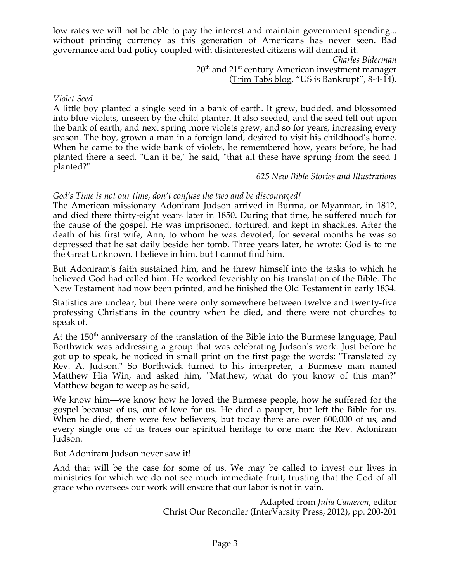low rates we will not be able to pay the interest and maintain government spending... without printing currency as this generation of Americans has never seen. Bad governance and bad policy coupled with disinterested citizens will demand it.

*Charles Biderman*

 $20<sup>th</sup>$  and  $21<sup>st</sup>$  century American investment manager (Trim Tabs blog, "US is Bankrupt", 8-4-14).

*Violet Seed*

A little boy planted a single seed in a bank of earth. It grew, budded, and blossomed into blue violets, unseen by the child planter. It also seeded, and the seed fell out upon the bank of earth; and next spring more violets grew; and so for years, increasing every season. The boy, grown a man in a foreign land, desired to visit his childhood's home. When he came to the wide bank of violets, he remembered how, years before, he had planted there a seed. "Can it be," he said, "that all these have sprung from the seed I planted?"

*625 New Bible Stories and Illustrations*

#### *God's Time is not our time, don't confuse the two and be discouraged!*

The American missionary Adoniram Judson arrived in Burma, or Myanmar, in 1812, and died there thirty-eight years later in 1850. During that time, he suffered much for the cause of the gospel. He was imprisoned, tortured, and kept in shackles. After the death of his first wife, Ann, to whom he was devoted, for several months he was so depressed that he sat daily beside her tomb. Three years later, he wrote: God is to me the Great Unknown. I believe in him, but I cannot find him.

But Adoniram's faith sustained him, and he threw himself into the tasks to which he believed God had called him. He worked feverishly on his translation of the Bible. The New Testament had now been printed, and he finished the Old Testament in early 1834.

Statistics are unclear, but there were only somewhere between twelve and twenty-five professing Christians in the country when he died, and there were not churches to speak of.

At the  $150<sup>th</sup>$  anniversary of the translation of the Bible into the Burmese language, Paul Borthwick was addressing a group that was celebrating Judson's work. Just before he got up to speak, he noticed in small print on the first page the words: "Translated by Rev. A. Judson." So Borthwick turned to his interpreter, a Burmese man named Matthew Hia Win, and asked him, "Matthew, what do you know of this man?" Matthew began to weep as he said,

We know him—we know how he loved the Burmese people, how he suffered for the gospel because of us, out of love for us. He died a pauper, but left the Bible for us. When he died, there were few believers, but today there are over 600,000 of us, and every single one of us traces our spiritual heritage to one man: the Rev. Adoniram Judson.

But Adoniram Judson never saw it!

And that will be the case for some of us. We may be called to invest our lives in ministries for which we do not see much immediate fruit, trusting that the God of all grace who oversees our work will ensure that our labor is not in vain.

> Adapted from *Julia Cameron*, editor Christ Our Reconciler (InterVarsity Press, 2012), pp. 200-201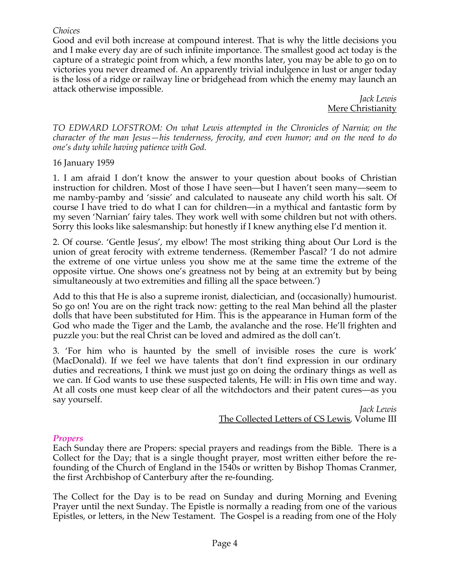#### *Choices*

Good and evil both increase at compound interest. That is why the little decisions you and I make every day are of such infinite importance. The smallest good act today is the capture of a strategic point from which, a few months later, you may be able to go on to victories you never dreamed of. An apparently trivial indulgence in lust or anger today is the loss of a ridge or railway line or bridgehead from which the enemy may launch an attack otherwise impossible.

*Jack Lewis* Mere Christianity

*TO EDWARD LOFSTROM: On what Lewis attempted in the Chronicles of Narnia; on the character of the man Jesus—his tenderness, ferocity, and even humor; and on the need to do one's duty while having patience with God.*

#### 16 January 1959

1. I am afraid I don't know the answer to your question about books of Christian instruction for children. Most of those I have seen—but I haven't seen many—seem to me namby-pamby and 'sissie' and calculated to nauseate any child worth his salt. Of course I have tried to do what I can for children—in a mythical and fantastic form by my seven 'Narnian' fairy tales. They work well with some children but not with others. Sorry this looks like salesmanship: but honestly if I knew anything else I'd mention it.

2. Of course. 'Gentle Jesus', my elbow! The most striking thing about Our Lord is the union of great ferocity with extreme tenderness. (Remember Pascal? 'I do not admire the extreme of one virtue unless you show me at the same time the extreme of the opposite virtue. One shows one's greatness not by being at an extremity but by being simultaneously at two extremities and filling all the space between.')

Add to this that He is also a supreme ironist, dialectician, and (occasionally) humourist. So go on! You are on the right track now: getting to the real Man behind all the plaster dolls that have been substituted for Him. This is the appearance in Human form of the God who made the Tiger and the Lamb, the avalanche and the rose. He'll frighten and puzzle you: but the real Christ can be loved and admired as the doll can't.

3. 'For him who is haunted by the smell of invisible roses the cure is work' (MacDonald). If we feel we have talents that don't find expression in our ordinary duties and recreations, I think we must just go on doing the ordinary things as well as we can. If God wants to use these suspected talents, He will: in His own time and way. At all costs one must keep clear of all the witchdoctors and their patent cures—as you say yourself.

*Jack Lewis* The Collected Letters of CS Lewis, Volume III

#### *Propers*

Each Sunday there are Propers: special prayers and readings from the Bible. There is a Collect for the Day; that is a single thought prayer, most written either before the refounding of the Church of England in the 1540s or written by Bishop Thomas Cranmer, the first Archbishop of Canterbury after the re-founding.

The Collect for the Day is to be read on Sunday and during Morning and Evening Prayer until the next Sunday. The Epistle is normally a reading from one of the various Epistles, or letters, in the New Testament. The Gospel is a reading from one of the Holy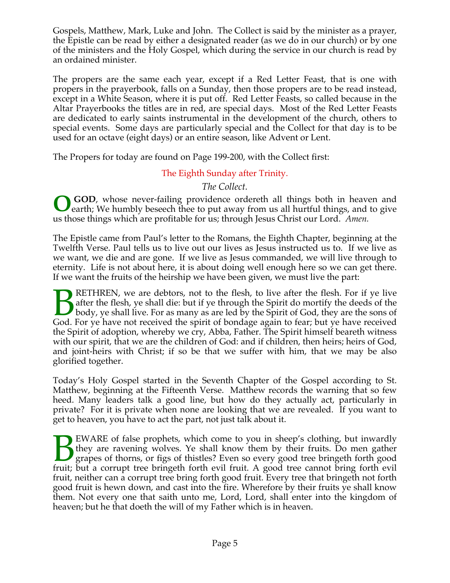Gospels, Matthew, Mark, Luke and John. The Collect is said by the minister as a prayer, the Epistle can be read by either a designated reader (as we do in our church) or by one of the ministers and the Holy Gospel, which during the service in our church is read by an ordained minister.

The propers are the same each year, except if a Red Letter Feast, that is one with propers in the prayerbook, falls on a Sunday, then those propers are to be read instead, except in a White Season, where it is put off. Red Letter Feasts, so called because in the Altar Prayerbooks the titles are in red, are special days. Most of the Red Letter Feasts are dedicated to early saints instrumental in the development of the church, others to special events. Some days are particularly special and the Collect for that day is to be used for an octave (eight days) or an entire season, like Advent or Lent.

The Propers for today are found on Page 199-200, with the Collect first:

The Eighth Sunday after Trinity.

*The Collect.*

**GOD**, whose never-failing providence ordereth all things both in heaven and earth; We humbly beseech thee to put away from us all hurtful things, and to give us those things which are profitable for us; through Jesus Christ our Lord. *Amen.* **O**

The Epistle came from Paul's letter to the Romans, the Eighth Chapter, beginning at the Twelfth Verse. Paul tells us to live out our lives as Jesus instructed us to. If we live as we want, we die and are gone. If we live as Jesus commanded, we will live through to eternity. Life is not about here, it is about doing well enough here so we can get there. If we want the fruits of the heirship we have been given, we must live the part:

RETHREN, we are debtors, not to the flesh, to live after the flesh. For if ye live after the flesh, ye shall die: but if ye through the Spirit do mortify the deeds of the body, ye shall live. For as many as are led by the Spirit of God, they are the sons of God. For ye have not received the spirit of bondage again to fear; but ye have received the Spirit of adoption, whereby we cry, Abba, Father. The Spirit himself beareth witness with our spirit, that we are the children of God: and if children, then heirs; heirs of God, and joint-heirs with Christ; if so be that we suffer with him, that we may be also glorified together.  $\overline{B}$ 

Today's Holy Gospel started in the Seventh Chapter of the Gospel according to St. Matthew, beginning at the Fifteenth Verse. Matthew records the warning that so few heed. Many leaders talk a good line, but how do they actually act, particularly in private? For it is private when none are looking that we are revealed. If you want to get to heaven, you have to act the part, not just talk about it.

EWARE of false prophets, which come to you in sheep's clothing, but inwardly they are ravening wolves. Ye shall know them by their fruits. Do men gather grapes of thorns, or figs of thistles? Even so every good tree bringeth forth good **FWARE** of false prophets, which come to you in sheep's clothing, but inwardly they are ravening wolves. Ye shall know them by their fruits. Do men gather grapes of thorns, or figs of thistles? Even so every good tree brin fruit, neither can a corrupt tree bring forth good fruit. Every tree that bringeth not forth good fruit is hewn down, and cast into the fire. Wherefore by their fruits ye shall know them. Not every one that saith unto me, Lord, Lord, shall enter into the kingdom of heaven; but he that doeth the will of my Father which is in heaven.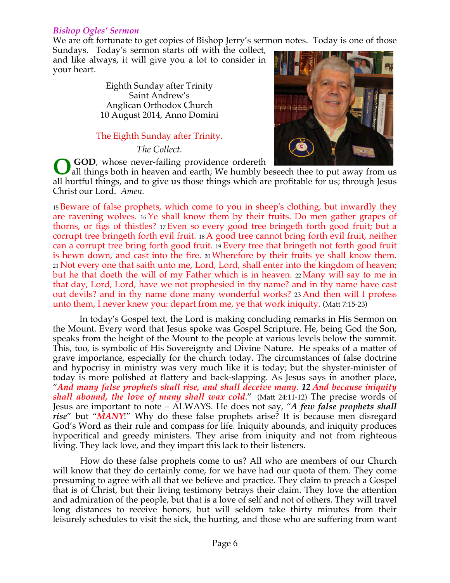#### *Bishop Ogles' Sermon*

We are oft fortunate to get copies of Bishop Jerry's sermon notes. Today is one of those

Sundays. Today's sermon starts off with the collect, and like always, it will give you a lot to consider in your heart.

> Eighth Sunday after Trinity Saint Andrew's Anglican Orthodox Church 10 August 2014, Anno Domini

#### The Eighth Sunday after Trinity.

*The Collect.*

**GOD**, whose never-failing providence ordereth



all things both in heaven and earth; We humbly beseech thee to put away from us all hurtful things, and to give us those things which are profitable for us; through Jesus Christ our Lord. *Amen.* **O**

<sup>15</sup> Beware of false prophets, which come to you in sheep's clothing, but inwardly they are ravening wolves. <sup>16</sup> Ye shall know them by their fruits. Do men gather grapes of thorns, or figs of thistles? <sup>17</sup> Even so every good tree bringeth forth good fruit; but a corrupt tree bringeth forth evil fruit. <sup>18</sup> A good tree cannot bring forth evil fruit, neither can a corrupt tree bring forth good fruit. <sup>19</sup> Every tree that bringeth not forth good fruit is hewn down, and cast into the fire. <sup>20</sup> Wherefore by their fruits ye shall know them. <sup>21</sup> Not every one that saith unto me, Lord, Lord, shall enter into the kingdom of heaven; but he that doeth the will of my Father which is in heaven. <sup>22</sup> Many will say to me in that day, Lord, Lord, have we not prophesied in thy name? and in thy name have cast out devils? and in thy name done many wonderful works? 23 And then will I profess unto them, I never knew you: depart from me, ye that work iniquity. (Matt 7:15-23)

 In today's Gospel text, the Lord is making concluding remarks in His Sermon on the Mount. Every word that Jesus spoke was Gospel Scripture. He, being God the Son, speaks from the height of the Mount to the people at various levels below the summit. This, too, is symbolic of His Sovereignty and Divine Nature. He speaks of a matter of grave importance, especially for the church today. The circumstances of false doctrine and hypocrisy in ministry was very much like it is today; but the shyster-minister of today is more polished at flattery and back-slapping. As Jesus says in another place, "*And many false prophets shall rise, and shall deceive many. 12 And because iniquity shall abound, the love of many shall wax cold*." (Matt 24:11-12) The precise words of Jesus are important to note – ALWAYS. He does not say, "*A few false prophets shall rise*" but "*MANY*!" Why do these false prophets arise? It is because men disregard God's Word as their rule and compass for life. Iniquity abounds, and iniquity produces hypocritical and greedy ministers. They arise from iniquity and not from righteous living. They lack love, and they impart this lack to their listeners.

 How do these false prophets come to us? All who are members of our Church will know that they do certainly come, for we have had our quota of them. They come presuming to agree with all that we believe and practice. They claim to preach a Gospel that is of Christ, but their living testimony betrays their claim. They love the attention and admiration of the people, but that is a love of self and not of others. They will travel long distances to receive honors, but will seldom take thirty minutes from their leisurely schedules to visit the sick, the hurting, and those who are suffering from want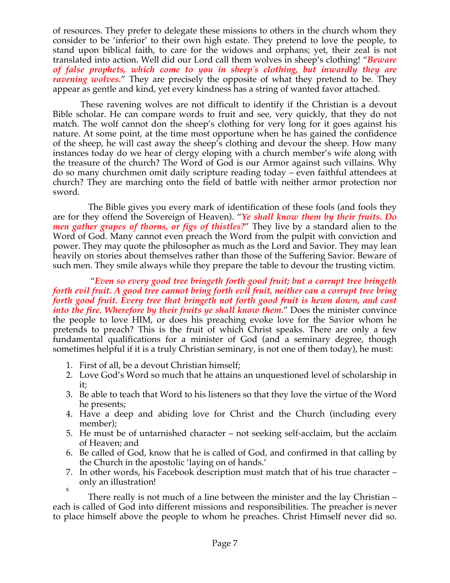of resources. They prefer to delegate these missions to others in the church whom they consider to be 'inferior' to their own high estate. They pretend to love the people, to stand upon biblical faith, to care for the widows and orphans; yet, their zeal is not translated into action. Well did our Lord call them wolves in sheep's clothing! "*Beware of false prophets, which come to you in sheep's clothing, but inwardly they are ravening wolves.*" They are precisely the opposite of what they pretend to be. They appear as gentle and kind, yet every kindness has a string of wanted favor attached.

 These ravening wolves are not difficult to identify if the Christian is a devout Bible scholar. He can compare words to fruit and see, very quickly, that they do not match. The wolf cannot don the sheep's clothing for very long for it goes against his nature. At some point, at the time most opportune when he has gained the confidence of the sheep, he will cast away the sheep's clothing and devour the sheep. How many instances today do we hear of clergy eloping with a church member's wife along with the treasure of the church? The Word of God is our Armor against such villains. Why do so many churchmen omit daily scripture reading today – even faithful attendees at church? They are marching onto the field of battle with neither armor protection nor sword.

The Bible gives you every mark of identification of these fools (and fools they are for they offend the Sovereign of Heaven). "*Ye shall know them by their fruits. Do men gather grapes of thorns, or figs of thistles?*" They live by a standard alien to the Word of God. Many cannot even preach the Word from the pulpit with conviction and power. They may quote the philosopher as much as the Lord and Savior. They may lean heavily on stories about themselves rather than those of the Suffering Savior. Beware of such men. They smile always while they prepare the table to devour the trusting victim.

 "*Even so every good tree bringeth forth good fruit; but a corrupt tree bringeth forth evil fruit. A good tree cannot bring forth evil fruit, neither can a corrupt tree bring forth good fruit. Every tree that bringeth not forth good fruit is hewn down, and cast into the fire. Wherefore by their fruits ye shall know them.*" Does the minister convince the people to love HIM, or does his preaching evoke love for the Savior whom he pretends to preach? This is the fruit of which Christ speaks. There are only a few fundamental qualifications for a minister of God (and a seminary degree, though sometimes helpful if it is a truly Christian seminary, is not one of them today), he must:

- 1. First of all, be a devout Christian himself;
- 2. Love God's Word so much that he attains an unquestioned level of scholarship in it;
- 3. Be able to teach that Word to his listeners so that they love the virtue of the Word he presents;
- 4. Have a deep and abiding love for Christ and the Church (including every member);
- 5. He must be of untarnished character not seeking self-acclaim, but the acclaim of Heaven; and
- 6. Be called of God, know that he is called of God, and confirmed in that calling by the Church in the apostolic 'laying on of hands.'
- 7. In other words, his Facebook description must match that of his true character only an illustration! 8.

There really is not much of a line between the minister and the lay Christian – each is called of God into different missions and responsibilities. The preacher is never to place himself above the people to whom he preaches. Christ Himself never did so.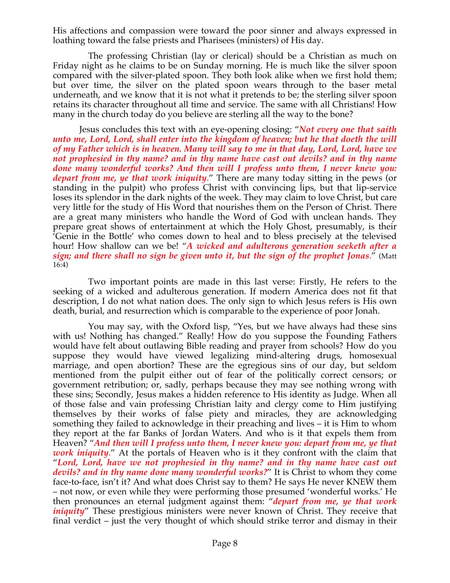His affections and compassion were toward the poor sinner and always expressed in loathing toward the false priests and Pharisees (ministers) of His day.

The professing Christian (lay or clerical) should be a Christian as much on Friday night as he claims to be on Sunday morning. He is much like the silver spoon compared with the silver-plated spoon. They both look alike when we first hold them; but over time, the silver on the plated spoon wears through to the baser metal underneath, and we know that it is not what it pretends to be; the sterling silver spoon retains its character throughout all time and service. The same with all Christians! How many in the church today do you believe are sterling all the way to the bone?

Jesus concludes this text with an eye-opening closing: "*Not every one that saith unto me, Lord, Lord, shall enter into the kingdom of heaven; but he that doeth the will of my Father which is in heaven. Many will say to me in that day, Lord, Lord, have we not prophesied in thy name? and in thy name have cast out devils? and in thy name done many wonderful works? And then will I profess unto them, I never knew you: depart from me, ye that work iniquity*." There are many today sitting in the pews (or standing in the pulpit) who profess Christ with convincing lips, but that lip-service loses its splendor in the dark nights of the week. They may claim to love Christ, but care very little for the study of His Word that nourishes them on the Person of Christ. There are a great many ministers who handle the Word of God with unclean hands. They prepare great shows of entertainment at which the Holy Ghost, presumably, is their 'Genie in the Bottle' who comes down to heal and to bless precisely at the televised hour! How shallow can we be! "*A wicked and adulterous generation seeketh after a sign; and there shall no sign be given unto it, but the sign of the prophet Jonas*." (Matt 16:4)

Two important points are made in this last verse: Firstly, He refers to the seeking of a wicked and adulterous generation. If modern America does not fit that description, I do not what nation does. The only sign to which Jesus refers is His own death, burial, and resurrection which is comparable to the experience of poor Jonah.

You may say, with the Oxford lisp, "Yes, but we have always had these sins with us! Nothing has changed." Really! How do you suppose the Founding Fathers would have felt about outlawing Bible reading and prayer from schools? How do you suppose they would have viewed legalizing mind-altering drugs, homosexual marriage, and open abortion? These are the egregious sins of our day, but seldom mentioned from the pulpit either out of fear of the politically correct censors; or government retribution; or, sadly, perhaps because they may see nothing wrong with these sins; Secondly, Jesus makes a hidden reference to His identity as Judge. When all of those false and vain professing Christian laity and clergy come to Him justifying themselves by their works of false piety and miracles, they are acknowledging something they failed to acknowledge in their preaching and lives – it is Him to whom they report at the far Banks of Jordan Waters. And who is it that expels them from Heaven? "*And then will I profess unto them, I never knew you: depart from me, ye that work iniquity*." At the portals of Heaven who is it they confront with the claim that "*Lord, Lord, have we not prophesied in thy name? and in thy name have cast out devils? and in thy name done many wonderful works?*" It is Christ to whom they come face-to-face, isn't it? And what does Christ say to them? He says He never KNEW them – not now, or even while they were performing those presumed 'wonderful works.' He then pronounces an eternal judgment against them: "*depart from me, ye that work iniquity*" These prestigious ministers were never known of Christ. They receive that final verdict – just the very thought of which should strike terror and dismay in their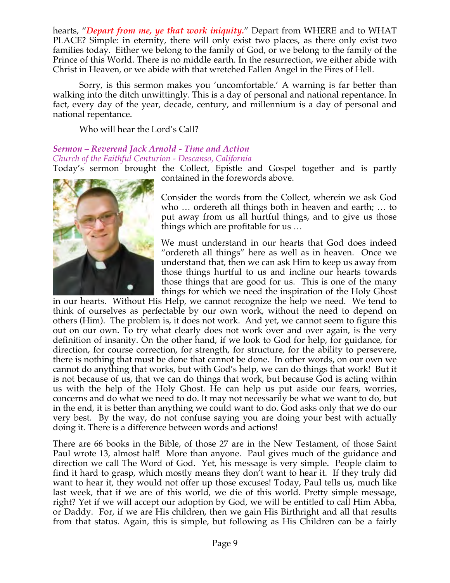hearts, "*Depart from me, ye that work iniquity.*" Depart from WHERE and to WHAT PLACE? Simple: in eternity, there will only exist two places, as there only exist two families today. Either we belong to the family of God, or we belong to the family of the Prince of this World. There is no middle earth. In the resurrection, we either abide with Christ in Heaven, or we abide with that wretched Fallen Angel in the Fires of Hell.

Sorry, is this sermon makes you 'uncomfortable.' A warning is far better than walking into the ditch unwittingly. This is a day of personal and national repentance. In fact, every day of the year, decade, century, and millennium is a day of personal and national repentance.

Who will hear the Lord's Call?

# *Sermon – Reverend Jack Arnold - Time and Action Church of the Faithful Centurion - Descanso, California*

Today's sermon brought the Collect, Epistle and Gospel together and is partly contained in the forewords above.



Consider the words from the Collect, wherein we ask God who … ordereth all things both in heaven and earth; … to put away from us all hurtful things, and to give us those things which are profitable for us …

We must understand in our hearts that God does indeed "ordereth all things" here as well as in heaven. Once we understand that, then we can ask Him to keep us away from those things hurtful to us and incline our hearts towards those things that are good for us. This is one of the many things for which we need the inspiration of the Holy Ghost

in our hearts. Without His Help, we cannot recognize the help we need. We tend to think of ourselves as perfectable by our own work, without the need to depend on others (Him). The problem is, it does not work. And yet, we cannot seem to figure this out on our own. To try what clearly does not work over and over again, is the very definition of insanity. On the other hand, if we look to God for help, for guidance, for direction, for course correction, for strength, for structure, for the ability to persevere, there is nothing that must be done that cannot be done. In other words, on our own we cannot do anything that works, but with God's help, we can do things that work! But it is not because of us, that we can do things that work, but because God is acting within us with the help of the Holy Ghost. He can help us put aside our fears, worries, concerns and do what we need to do. It may not necessarily be what we want to do, but in the end, it is better than anything we could want to do. God asks only that we do our very best. By the way, do not confuse saying you are doing your best with actually doing it. There is a difference between words and actions!

There are 66 books in the Bible, of those 27 are in the New Testament, of those Saint Paul wrote 13, almost half! More than anyone. Paul gives much of the guidance and direction we call The Word of God. Yet, his message is very simple. People claim to find it hard to grasp, which mostly means they don't want to hear it. If they truly did want to hear it, they would not offer up those excuses! Today, Paul tells us, much like last week, that if we are of this world, we die of this world. Pretty simple message, right? Yet if we will accept our adoption by God, we will be entitled to call Him Abba, or Daddy. For, if we are His children, then we gain His Birthright and all that results from that status. Again, this is simple, but following as His Children can be a fairly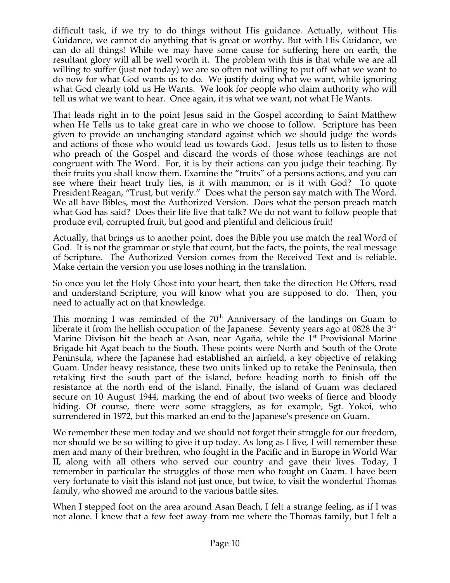difficult task, if we try to do things without His guidance. Actually, without His Guidance, we cannot do anything that is great or worthy. But with His Guidance, we can do all things! While we may have some cause for suffering here on earth, the resultant glory will all be well worth it. The problem with this is that while we are all willing to suffer (just not today) we are so often not willing to put off what we want to do now for what God wants us to do. We justify doing what we want, while ignoring what God clearly told us He Wants. We look for people who claim authority who will tell us what we want to hear. Once again, it is what we want, not what He Wants.

That leads right in to the point Jesus said in the Gospel according to Saint Matthew when He Tells us to take great care in who we choose to follow. Scripture has been given to provide an unchanging standard against which we should judge the words and actions of those who would lead us towards God. Jesus tells us to listen to those who preach of the Gospel and discard the words of those whose teachings are not congruent with The Word. For, it is by their actions can you judge their teaching. By their fruits you shall know them. Examine the "fruits" of a persons actions, and you can see where their heart truly lies, is it with mammon, or is it with God? To quote President Reagan, "Trust, but verify." Does what the person say match with The Word. We all have Bibles, most the Authorized Version. Does what the person preach match what God has said? Does their life live that talk? We do not want to follow people that produce evil, corrupted fruit, but good and plentiful and delicious fruit!

Actually, that brings us to another point, does the Bible you use match the real Word of God. It is not the grammar or style that count, but the facts, the points, the real message of Scripture. The Authorized Version comes from the Received Text and is reliable. Make certain the version you use loses nothing in the translation.

So once you let the Holy Ghost into your heart, then take the direction He Offers, read and understand Scripture, you will know what you are supposed to do. Then, you need to actually act on that knowledge.

This morning I was reminded of the  $70<sup>th</sup>$  Anniversary of the landings on Guam to liberate it from the hellish occupation of the Japanese. Seventy years ago at 0828 the  $3<sup>rd</sup>$ Marine Divison hit the beach at Asan, near Agaña, while the  $1<sup>st</sup>$  Provisional Marine Brigade hit Agat beach to the South. These points were North and South of the Orote Peninsula, where the Japanese had established an airfield, a key objective of retaking Guam. Under heavy resistance, these two units linked up to retake the Peninsula, then retaking first the south part of the island, before heading north to finish off the resistance at the north end of the island. Finally, the island of Guam was declared secure on 10 August 1944, marking the end of about two weeks of fierce and bloody hiding. Of course, there were some stragglers, as for example, Sgt. Yokoi, who surrendered in 1972, but this marked an end to the Japanese's presence on Guam.

We remember these men today and we should not forget their struggle for our freedom, nor should we be so willing to give it up today. As long as I live, I will remember these men and many of their brethren, who fought in the Pacific and in Europe in World War II, along with all others who served our country and gave their lives. Today, I remember in particular the struggles of those men who fought on Guam. I have been very fortunate to visit this island not just once, but twice, to visit the wonderful Thomas family, who showed me around to the various battle sites.

When I stepped foot on the area around Asan Beach, I felt a strange feeling, as if I was not alone. I knew that a few feet away from me where the Thomas family, but I felt a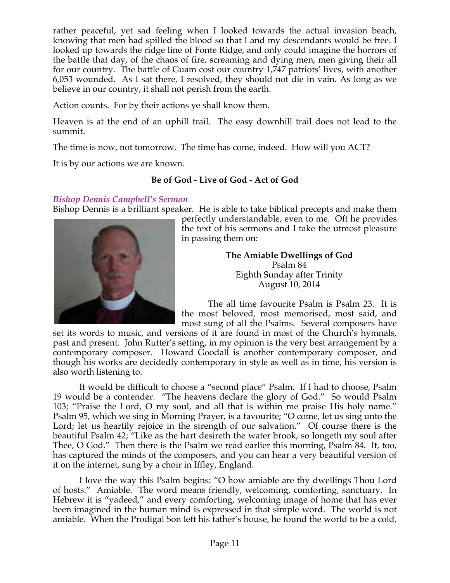rather peaceful, yet sad feeling when I looked towards the actual invasion beach, knowing that men had spilled the blood so that I and my descendants would be free. I looked up towards the ridge line of Fonte Ridge, and only could imagine the horrors of the battle that day, of the chaos of fire, screaming and dying men, men giving their all for our country. The battle of Guam cost our country 1,747 patriots' lives, with another 6,053 wounded. As I sat there, I resolved, they should not die in vain. As long as we believe in our country, it shall not perish from the earth.

Action counts. For by their actions ye shall know them.

Heaven is at the end of an uphill trail. The easy downhill trail does not lead to the summit.

The time is now, not tomorrow. The time has come, indeed. How will you ACT?

It is by our actions we are known.

## **Be of God - Live of God - Act of God**

### *Bishop Dennis Campbell's Sermon*

Bishop Dennis is a brilliant speaker. He is able to take biblical precepts and make them



perfectly understandable, even to me. Oft he provides the text of his sermons and I take the utmost pleasure in passing them on:

> **The Amiable Dwellings of God** Psalm 84 Eighth Sunday after Trinity August 10, 2014

 The all time favourite Psalm is Psalm 23. It is the most beloved, most memorised, most said, and most sung of all the Psalms. Several composers have

set its words to music, and versions of it are found in most of the Church's hymnals, past and present. John Rutter's setting, in my opinion is the very best arrangement by a contemporary composer. Howard Goodall is another contemporary composer, and though his works are decidedly contemporary in style as well as in time, his version is also worth listening to.

 It would be difficult to choose a "second place" Psalm. If I had to choose, Psalm 19 would be a contender. "The heavens declare the glory of God." So would Psalm 103; "Praise the Lord, O my soul, and all that is within me praise His holy name." Psalm 95, which we sing in Morning Prayer, is a favourite; "O come, let us sing unto the Lord; let us heartily rejoice in the strength of our salvation." Of course there is the beautiful Psalm 42; "Like as the hart desireth the water brook, so longeth my soul after Thee, O God." Then there is the Psalm we read earlier this morning, Psalm 84. It, too, has captured the minds of the composers, and you can hear a very beautiful version of it on the internet, sung by a choir in Iffley, England.

 I love the way this Psalm begins: "O how amiable are thy dwellings Thou Lord of hosts." Amiable. The word means friendly, welcoming, comforting, sanctuary. In Hebrew it is "yadeed," and every comforting, welcoming image of home that has ever been imagined in the human mind is expressed in that simple word. The world is not amiable. When the Prodigal Son left his father's house, he found the world to be a cold,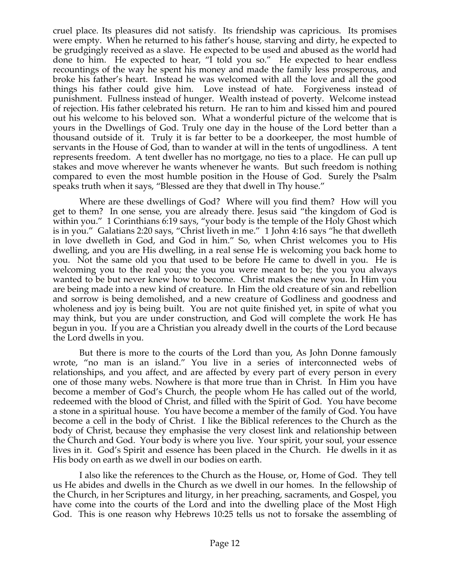cruel place. Its pleasures did not satisfy. Its friendship was capricious. Its promises were empty. When he returned to his father's house, starving and dirty, he expected to be grudgingly received as a slave. He expected to be used and abused as the world had done to him. He expected to hear, "I told you so." He expected to hear endless recountings of the way he spent his money and made the family less prosperous, and broke his father's heart. Instead he was welcomed with all the love and all the good things his father could give him. Love instead of hate. Forgiveness instead of punishment. Fullness instead of hunger. Wealth instead of poverty. Welcome instead of rejection. His father celebrated his return. He ran to him and kissed him and poured out his welcome to his beloved son. What a wonderful picture of the welcome that is yours in the Dwellings of God. Truly one day in the house of the Lord better than a thousand outside of it. Truly it is far better to be a doorkeeper, the most humble of servants in the House of God, than to wander at will in the tents of ungodliness. A tent represents freedom. A tent dweller has no mortgage, no ties to a place. He can pull up stakes and move wherever he wants whenever he wants. But such freedom is nothing compared to even the most humble position in the House of God. Surely the Psalm speaks truth when it says, "Blessed are they that dwell in Thy house."

 Where are these dwellings of God? Where will you find them? How will you get to them? In one sense, you are already there. Jesus said "the kingdom of God is within you." 1 Corinthians 6:19 says, "your body is the temple of the Holy Ghost which is in you." Galatians 2:20 says, "Christ liveth in me." 1 John 4:16 says "he that dwelleth in love dwelleth in God, and God in him." So, when Christ welcomes you to His dwelling, and you are His dwelling, in a real sense He is welcoming you back home to you. Not the same old you that used to be before He came to dwell in you. He is welcoming you to the real you; the you you were meant to be; the you you always wanted to be but never knew how to become. Christ makes the new you. In Him you are being made into a new kind of creature. In Him the old creature of sin and rebellion and sorrow is being demolished, and a new creature of Godliness and goodness and wholeness and joy is being built. You are not quite finished yet, in spite of what you may think, but you are under construction, and God will complete the work He has begun in you. If you are a Christian you already dwell in the courts of the Lord because the Lord dwells in you.

 But there is more to the courts of the Lord than you, As John Donne famously wrote, "no man is an island." You live in a series of interconnected webs of relationships, and you affect, and are affected by every part of every person in every one of those many webs. Nowhere is that more true than in Christ. In Him you have become a member of God's Church, the people whom He has called out of the world, redeemed with the blood of Christ, and filled with the Spirit of God. You have become a stone in a spiritual house. You have become a member of the family of God. You have become a cell in the body of Christ. I like the Biblical references to the Church as the body of Christ, because they emphasise the very closest link and relationship between the Church and God. Your body is where you live. Your spirit, your soul, your essence lives in it. God's Spirit and essence has been placed in the Church. He dwells in it as His body on earth as we dwell in our bodies on earth.

I also like the references to the Church as the House, or, Home of God. They tell us He abides and dwells in the Church as we dwell in our homes. In the fellowship of the Church, in her Scriptures and liturgy, in her preaching, sacraments, and Gospel, you have come into the courts of the Lord and into the dwelling place of the Most High God. This is one reason why Hebrews 10:25 tells us not to forsake the assembling of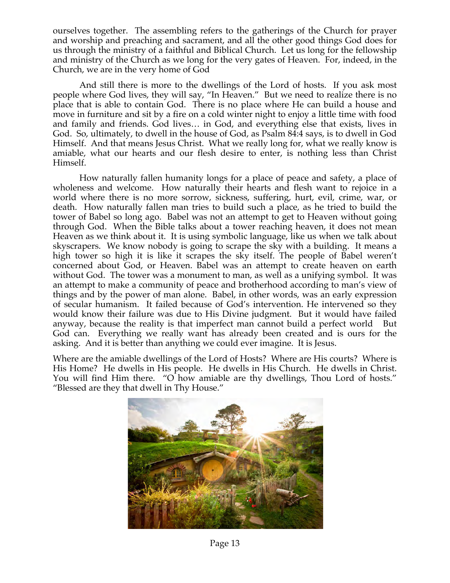ourselves together. The assembling refers to the gatherings of the Church for prayer and worship and preaching and sacrament, and all the other good things God does for us through the ministry of a faithful and Biblical Church. Let us long for the fellowship and ministry of the Church as we long for the very gates of Heaven. For, indeed, in the Church, we are in the very home of God

 And still there is more to the dwellings of the Lord of hosts. If you ask most people where God lives, they will say, "In Heaven." But we need to realize there is no place that is able to contain God. There is no place where He can build a house and move in furniture and sit by a fire on a cold winter night to enjoy a little time with food and family and friends. God lives… in God, and everything else that exists, lives in God. So, ultimately, to dwell in the house of God, as Psalm 84:4 says, is to dwell in God Himself. And that means Jesus Christ. What we really long for, what we really know is amiable, what our hearts and our flesh desire to enter, is nothing less than Christ Himself.

 How naturally fallen humanity longs for a place of peace and safety, a place of wholeness and welcome. How naturally their hearts and flesh want to rejoice in a world where there is no more sorrow, sickness, suffering, hurt, evil, crime, war, or death. How naturally fallen man tries to build such a place, as he tried to build the tower of Babel so long ago. Babel was not an attempt to get to Heaven without going through God. When the Bible talks about a tower reaching heaven, it does not mean Heaven as we think about it. It is using symbolic language, like us when we talk about skyscrapers. We know nobody is going to scrape the sky with a building. It means a high tower so high it is like it scrapes the sky itself. The people of Babel weren't concerned about God, or Heaven. Babel was an attempt to create heaven on earth without God. The tower was a monument to man, as well as a unifying symbol. It was an attempt to make a community of peace and brotherhood according to man's view of things and by the power of man alone. Babel, in other words, was an early expression of secular humanism. It failed because of God's intervention. He intervened so they would know their failure was due to His Divine judgment. But it would have failed anyway, because the reality is that imperfect man cannot build a perfect world But God can. Everything we really want has already been created and is ours for the asking. And it is better than anything we could ever imagine. It is Jesus.

Where are the amiable dwellings of the Lord of Hosts? Where are His courts? Where is His Home? He dwells in His people. He dwells in His Church. He dwells in Christ. You will find Him there. "O how amiable are thy dwellings, Thou Lord of hosts." "Blessed are they that dwell in Thy House."



Page 13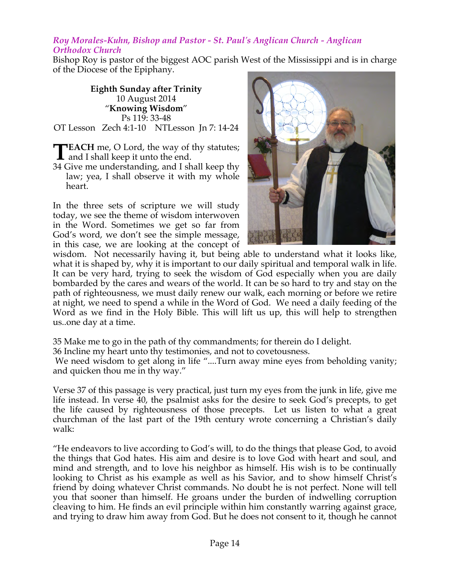#### *Roy Morales-Kuhn, Bishop and Pastor - St. Paul's Anglican Church - Anglican Orthodox Church*

Bishop Roy is pastor of the biggest AOC parish West of the Mississippi and is in charge of the Diocese of the Epiphany.

**Eighth Sunday after Trinity** 10 August 2014 "**Knowing Wisdom**" Ps 119: 33-48 OT Lesson Zech 4:1-10 NTLesson Jn 7: 14-24

- **EACH** me, O Lord, the way of thy statutes; **TEACH** me, O Lord, the way of<br>and I shall keep it unto the end.
- 34 Give me understanding, and I shall keep thy law; yea, I shall observe it with my whole heart.

In the three sets of scripture we will study today, we see the theme of wisdom interwoven in the Word. Sometimes we get so far from God's word, we don't see the simple message, in this case, we are looking at the concept of



wisdom. Not necessarily having it, but being able to understand what it looks like, what it is shaped by, why it is important to our daily spiritual and temporal walk in life. It can be very hard, trying to seek the wisdom of God especially when you are daily bombarded by the cares and wears of the world. It can be so hard to try and stay on the path of righteousness, we must daily renew our walk, each morning or before we retire at night, we need to spend a while in the Word of God. We need a daily feeding of the Word as we find in the Holy Bible. This will lift us up, this will help to strengthen us..one day at a time.

35 Make me to go in the path of thy commandments; for therein do I delight.

36 Incline my heart unto thy testimonies, and not to covetousness.

We need wisdom to get along in life "....Turn away mine eyes from beholding vanity; and quicken thou me in thy way."

Verse 37 of this passage is very practical, just turn my eyes from the junk in life, give me life instead. In verse 40, the psalmist asks for the desire to seek God's precepts, to get the life caused by righteousness of those precepts. Let us listen to what a great churchman of the last part of the 19th century wrote concerning a Christian's daily walk:

"He endeavors to live according to God's will, to do the things that please God, to avoid the things that God hates. His aim and desire is to love God with heart and soul, and mind and strength, and to love his neighbor as himself. His wish is to be continually looking to Christ as his example as well as his Savior, and to show himself Christ's friend by doing whatever Christ commands. No doubt he is not perfect. None will tell you that sooner than himself. He groans under the burden of indwelling corruption cleaving to him. He finds an evil principle within him constantly warring against grace, and trying to draw him away from God. But he does not consent to it, though he cannot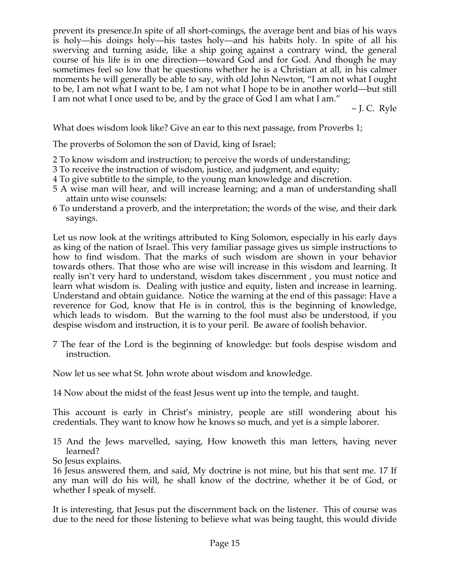prevent its presence.In spite of all short-comings, the average bent and bias of his ways is holy—his doings holy—his tastes holy—and his habits holy. In spite of all his swerving and turning aside, like a ship going against a contrary wind, the general course of his life is in one direction—toward God and for God. And though he may sometimes feel so low that he questions whether he is a Christian at all, in his calmer moments he will generally be able to say, with old John Newton, "I am not what I ought to be, I am not what I want to be, I am not what I hope to be in another world—but still I am not what I once used to be, and by the grace of God I am what I am."

 $\sim$  J. C. Ryle

What does wisdom look like? Give an ear to this next passage, from Proverbs 1;

The proverbs of Solomon the son of David, king of Israel;

- 2 To know wisdom and instruction; to perceive the words of understanding;
- 3 To receive the instruction of wisdom, justice, and judgment, and equity;
- 4 To give subtitle to the simple, to the young man knowledge and discretion.
- 5 A wise man will hear, and will increase learning; and a man of understanding shall attain unto wise counsels:
- 6 To understand a proverb, and the interpretation; the words of the wise, and their dark sayings.

Let us now look at the writings attributed to King Solomon, especially in his early days as king of the nation of Israel. This very familiar passage gives us simple instructions to how to find wisdom. That the marks of such wisdom are shown in your behavior towards others. That those who are wise will increase in this wisdom and learning. It really isn't very hard to understand, wisdom takes discernment , you must notice and learn what wisdom is. Dealing with justice and equity, listen and increase in learning. Understand and obtain guidance. Notice the warning at the end of this passage: Have a reverence for God, know that He is in control, this is the beginning of knowledge, which leads to wisdom. But the warning to the fool must also be understood, if you despise wisdom and instruction, it is to your peril. Be aware of foolish behavior.

7 The fear of the Lord is the beginning of knowledge: but fools despise wisdom and instruction.

Now let us see what St. John wrote about wisdom and knowledge.

14 Now about the midst of the feast Jesus went up into the temple, and taught.

This account is early in Christ's ministry, people are still wondering about his credentials. They want to know how he knows so much, and yet is a simple laborer.

15 And the Jews marvelled, saying, How knoweth this man letters, having never learned?

So Jesus explains.

16 Jesus answered them, and said, My doctrine is not mine, but his that sent me. 17 If any man will do his will, he shall know of the doctrine, whether it be of God, or whether I speak of myself.

It is interesting, that Jesus put the discernment back on the listener. This of course was due to the need for those listening to believe what was being taught, this would divide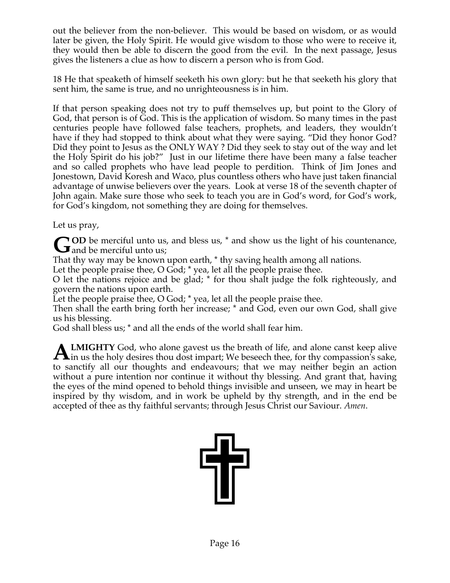out the believer from the non-believer. This would be based on wisdom, or as would later be given, the Holy Spirit. He would give wisdom to those who were to receive it, they would then be able to discern the good from the evil. In the next passage, Jesus gives the listeners a clue as how to discern a person who is from God.

18 He that speaketh of himself seeketh his own glory: but he that seeketh his glory that sent him, the same is true, and no unrighteousness is in him.

If that person speaking does not try to puff themselves up, but point to the Glory of God, that person is of God. This is the application of wisdom. So many times in the past centuries people have followed false teachers, prophets, and leaders, they wouldn't have if they had stopped to think about what they were saying. "Did they honor God? Did they point to Jesus as the ONLY WAY ? Did they seek to stay out of the way and let the Holy Spirit do his job?" Just in our lifetime there have been many a false teacher and so called prophets who have lead people to perdition. Think of Jim Jones and Jonestown, David Koresh and Waco, plus countless others who have just taken financial advantage of unwise believers over the years. Look at verse 18 of the seventh chapter of John again. Make sure those who seek to teach you are in God's word, for God's work, for God's kingdom, not something they are doing for themselves.

Let us pray,

**OD** be merciful unto us, and bless us,  $*$  and show us the light of his countenance, **G** OD be merciful unto us;<br>
and be merciful unto us;

That thy way may be known upon earth, \* thy saving health among all nations.

Let the people praise thee, O God;  $*$  yea, let all the people praise thee.

O let the nations rejoice and be glad; \* for thou shalt judge the folk righteously, and govern the nations upon earth.

Let the people praise thee, O God; \* yea, let all the people praise thee.

Then shall the earth bring forth her increase; \* and God, even our own God, shall give us his blessing.

God shall bless us; \* and all the ends of the world shall fear him.

**LMIGHTY** God, who alone gavest us the breath of life, and alone canst keep alive **ALMIGHTY** God, who alone gavest us the breath of life, and alone canst keep alive in us the holy desires thou dost impart; We beseech thee, for thy compassion's sake, to sanctify all our thoughts and endeavours; that we may neither begin an action without a pure intention nor continue it without thy blessing. And grant that, having the eyes of the mind opened to behold things invisible and unseen, we may in heart be inspired by thy wisdom, and in work be upheld by thy strength, and in the end be accepted of thee as thy faithful servants; through Jesus Christ our Saviour. *Amen*.

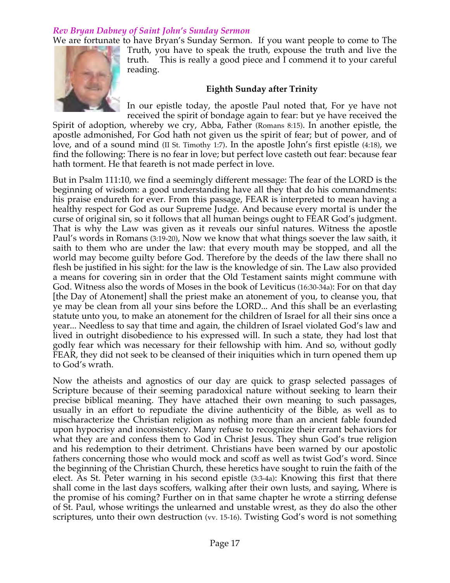# *Rev Bryan Dabney of Saint John's Sunday Sermon*

We are fortunate to have Bryan's Sunday Sermon. If you want people to come to The



Truth, you have to speak the truth, expouse the truth and live the truth. This is really a good piece and I commend it to your careful reading.

# **Eighth Sunday after Trinity**

In our epistle today, the apostle Paul noted that, For ye have not received the spirit of bondage again to fear: but ye have received the

Spirit of adoption, whereby we cry, Abba, Father (Romans 8:15). In another epistle, the apostle admonished, For God hath not given us the spirit of fear; but of power, and of love, and of a sound mind (II St. Timothy 1:7). In the apostle John's first epistle (4:18), we find the following: There is no fear in love; but perfect love casteth out fear: because fear hath torment. He that feareth is not made perfect in love.

But in Psalm 111:10, we find a seemingly different message: The fear of the LORD is the beginning of wisdom: a good understanding have all they that do his commandments: his praise endureth for ever. From this passage, FEAR is interpreted to mean having a healthy respect for God as our Supreme Judge. And because every mortal is under the curse of original sin, so it follows that all human beings ought to FEAR God's judgment. That is why the Law was given as it reveals our sinful natures. Witness the apostle Paul's words in Romans (3:19-20), Now we know that what things soever the law saith, it saith to them who are under the law: that every mouth may be stopped, and all the world may become guilty before God. Therefore by the deeds of the law there shall no flesh be justified in his sight: for the law is the knowledge of sin. The Law also provided a means for covering sin in order that the Old Testament saints might commune with God. Witness also the words of Moses in the book of Leviticus (16:30-34a): For on that day [the Day of Atonement] shall the priest make an atonement of you, to cleanse you, that ye may be clean from all your sins before the LORD... And this shall be an everlasting statute unto you, to make an atonement for the children of Israel for all their sins once a year... Needless to say that time and again, the children of Israel violated God's law and lived in outright disobedience to his expressed will. In such a state, they had lost that godly fear which was necessary for their fellowship with him. And so, without godly FEAR, they did not seek to be cleansed of their iniquities which in turn opened them up to God's wrath.

Now the atheists and agnostics of our day are quick to grasp selected passages of Scripture because of their seeming paradoxical nature without seeking to learn their precise biblical meaning. They have attached their own meaning to such passages, usually in an effort to repudiate the divine authenticity of the Bible, as well as to mischaracterize the Christian religion as nothing more than an ancient fable founded upon hypocrisy and inconsistency. Many refuse to recognize their errant behaviors for what they are and confess them to God in Christ Jesus. They shun God's true religion and his redemption to their detriment. Christians have been warned by our apostolic fathers concerning those who would mock and scoff as well as twist God's word. Since the beginning of the Christian Church, these heretics have sought to ruin the faith of the elect. As St. Peter warning in his second epistle (3:3-4a): Knowing this first that there shall come in the last days scoffers, walking after their own lusts, and saying, Where is the promise of his coming? Further on in that same chapter he wrote a stirring defense of St. Paul, whose writings the unlearned and unstable wrest, as they do also the other scriptures, unto their own destruction (vv. 15-16). Twisting God's word is not something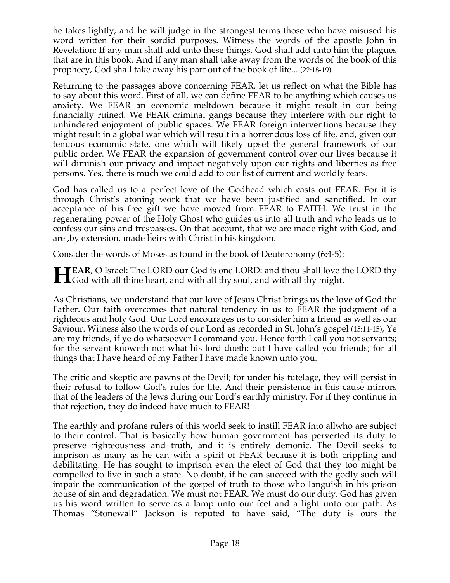he takes lightly, and he will judge in the strongest terms those who have misused his word written for their sordid purposes. Witness the words of the apostle John in Revelation: If any man shall add unto these things, God shall add unto him the plagues that are in this book. And if any man shall take away from the words of the book of this prophecy, God shall take away his part out of the book of life... (22:18-19).

Returning to the passages above concerning FEAR, let us reflect on what the Bible has to say about this word. First of all, we can define FEAR to be anything which causes us anxiety. We FEAR an economic meltdown because it might result in our being financially ruined. We FEAR criminal gangs because they interfere with our right to unhindered enjoyment of public spaces. We FEAR foreign interventions because they might result in a global war which will result in a horrendous loss of life, and, given our tenuous economic state, one which will likely upset the general framework of our public order. We FEAR the expansion of government control over our lives because it will diminish our privacy and impact negatively upon our rights and liberties as free persons. Yes, there is much we could add to our list of current and worldly fears.

God has called us to a perfect love of the Godhead which casts out FEAR. For it is through Christ's atoning work that we have been justified and sanctified. In our acceptance of his free gift we have moved from FEAR to FAITH. We trust in the regenerating power of the Holy Ghost who guides us into all truth and who leads us to confess our sins and trespasses. On that account, that we are made right with God, and are ,by extension, made heirs with Christ in his kingdom.

Consider the words of Moses as found in the book of Deuteronomy (6:4-5):

**EXAR, O Israel:** The LORD our God is one LORD: and thou shall love the LORD thy **HEAR**, O Israel: The LORD our God is one LORD: and thou shall love the God with all thine heart, and with all thy soul, and with all thy might.

As Christians, we understand that our love of Jesus Christ brings us the love of God the Father. Our faith overcomes that natural tendency in us to FEAR the judgment of a righteous and holy God. Our Lord encourages us to consider him a friend as well as our Saviour. Witness also the words of our Lord as recorded in St. John's gospel (15:14-15), Ye are my friends, if ye do whatsoever I command you. Hence forth I call you not servants; for the servant knoweth not what his lord doeth: but I have called you friends; for all things that I have heard of my Father I have made known unto you.

The critic and skeptic are pawns of the Devil; for under his tutelage, they will persist in their refusal to follow God's rules for life. And their persistence in this cause mirrors that of the leaders of the Jews during our Lord's earthly ministry. For if they continue in that rejection, they do indeed have much to FEAR!

The earthly and profane rulers of this world seek to instill FEAR into allwho are subject to their control. That is basically how human government has perverted its duty to preserve righteousness and truth, and it is entirely demonic. The Devil seeks to imprison as many as he can with a spirit of FEAR because it is both crippling and debilitating. He has sought to imprison even the elect of God that they too might be compelled to live in such a state. No doubt, if he can succeed with the godly such will impair the communication of the gospel of truth to those who languish in his prison house of sin and degradation. We must not FEAR. We must do our duty. God has given us his word written to serve as a lamp unto our feet and a light unto our path. As Thomas "Stonewall" Jackson is reputed to have said, "The duty is ours the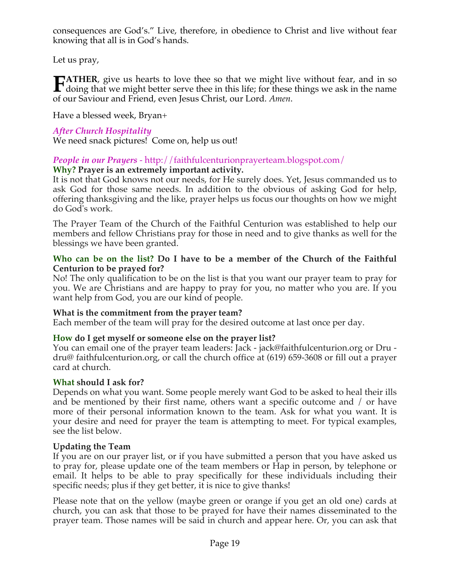consequences are God's." Live, therefore, in obedience to Christ and live without fear knowing that all is in God's hands.

Let us pray,

**ATHER**, give us hearts to love thee so that we might live without fear, and in so **FATHER**, give us hearts to love thee so that we might live without fear, and in so doing that we might better serve thee in this life; for these things we ask in the name of our Saviour and Friend, even Jesus Christ, our Lord. *Amen*.

Have a blessed week, Bryan+

# *After Church Hospitality*

We need snack pictures! Come on, help us out!

# *People in our Prayers* - http://faithfulcenturionprayerteam.blogspot.com/

### **Why? Prayer is an extremely important activity.**

It is not that God knows not our needs, for He surely does. Yet, Jesus commanded us to ask God for those same needs. In addition to the obvious of asking God for help, offering thanksgiving and the like, prayer helps us focus our thoughts on how we might do God's work.

The Prayer Team of the Church of the Faithful Centurion was established to help our members and fellow Christians pray for those in need and to give thanks as well for the blessings we have been granted.

#### **Who can be on the list? Do I have to be a member of the Church of the Faithful Centurion to be prayed for?**

No! The only qualification to be on the list is that you want our prayer team to pray for you. We are Christians and are happy to pray for you, no matter who you are. If you want help from God, you are our kind of people.

#### **What is the commitment from the prayer team?**

Each member of the team will pray for the desired outcome at last once per day.

#### **How do I get myself or someone else on the prayer list?**

You can email one of the prayer team leaders: Jack - jack@faithfulcenturion.org or Dru dru@ faithfulcenturion.org, or call the church office at (619) 659-3608 or fill out a prayer card at church.

#### **What should I ask for?**

Depends on what you want. Some people merely want God to be asked to heal their ills and be mentioned by their first name, others want a specific outcome and / or have more of their personal information known to the team. Ask for what you want. It is your desire and need for prayer the team is attempting to meet. For typical examples, see the list below.

## **Updating the Team**

If you are on our prayer list, or if you have submitted a person that you have asked us to pray for, please update one of the team members or Hap in person, by telephone or email. It helps to be able to pray specifically for these individuals including their specific needs; plus if they get better, it is nice to give thanks!

Please note that on the yellow (maybe green or orange if you get an old one) cards at church, you can ask that those to be prayed for have their names disseminated to the prayer team. Those names will be said in church and appear here. Or, you can ask that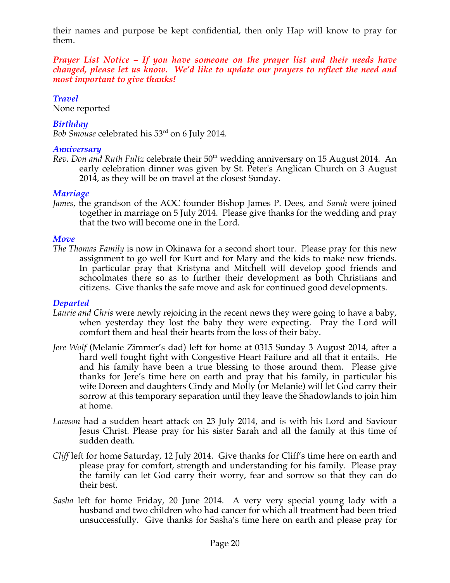their names and purpose be kept confidential, then only Hap will know to pray for them.

*Prayer List Notice – If you have someone on the prayer list and their needs have changed, please let us know. We'd like to update our prayers to reflect the need and most important to give thanks!*

# *Travel*

None reported

# *Birthday*

*Bob Smouse* celebrated his 53rd on 6 July 2014.

## *Anniversary*

*Rev. Don and Ruth Fultz celebrate their* 50<sup>th</sup> wedding anniversary on 15 August 2014. An early celebration dinner was given by St. Peter's Anglican Church on 3 August 2014, as they will be on travel at the closest Sunday.

## *Marriage*

*James*, the grandson of the AOC founder Bishop James P. Dees, and *Sarah* were joined together in marriage on 5 July 2014. Please give thanks for the wedding and pray that the two will become one in the Lord.

## *Move*

*The Thomas Family* is now in Okinawa for a second short tour. Please pray for this new assignment to go well for Kurt and for Mary and the kids to make new friends. In particular pray that Kristyna and Mitchell will develop good friends and schoolmates there so as to further their development as both Christians and citizens. Give thanks the safe move and ask for continued good developments.

## *Departed*

- *Laurie and Chris* were newly rejoicing in the recent news they were going to have a baby, when yesterday they lost the baby they were expecting. Pray the Lord will comfort them and heal their hearts from the loss of their baby.
- *Jere Wolf* (Melanie Zimmer's dad) left for home at 0315 Sunday 3 August 2014, after a hard well fought fight with Congestive Heart Failure and all that it entails. He and his family have been a true blessing to those around them. Please give thanks for Jere's time here on earth and pray that his family, in particular his wife Doreen and daughters Cindy and Molly (or Melanie) will let God carry their sorrow at this temporary separation until they leave the Shadowlands to join him at home.
- *Lawson* had a sudden heart attack on 23 July 2014, and is with his Lord and Saviour Jesus Christ. Please pray for his sister Sarah and all the family at this time of sudden death.
- *Cliff* left for home Saturday, 12 July 2014. Give thanks for Cliff's time here on earth and please pray for comfort, strength and understanding for his family. Please pray the family can let God carry their worry, fear and sorrow so that they can do their best.
- *Sasha* left for home Friday, 20 June 2014. A very very special young lady with a husband and two children who had cancer for which all treatment had been tried unsuccessfully. Give thanks for Sasha's time here on earth and please pray for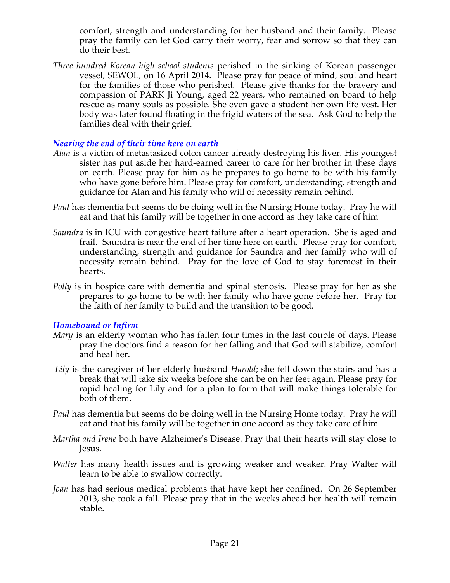comfort, strength and understanding for her husband and their family. Please pray the family can let God carry their worry, fear and sorrow so that they can do their best.

*Three hundred Korean high school students* perished in the sinking of Korean passenger vessel, SEWOL, on 16 April 2014. Please pray for peace of mind, soul and heart for the families of those who perished. Please give thanks for the bravery and compassion of PARK Ji Young, aged 22 years, who remained on board to help rescue as many souls as possible. She even gave a student her own life vest. Her body was later found floating in the frigid waters of the sea. Ask God to help the families deal with their grief.

### *Nearing the end of their time here on earth*

- *Alan* is a victim of metastasized colon cancer already destroying his liver. His youngest sister has put aside her hard-earned career to care for her brother in these days on earth. Please pray for him as he prepares to go home to be with his family who have gone before him. Please pray for comfort, understanding, strength and guidance for Alan and his family who will of necessity remain behind.
- *Paul* has dementia but seems do be doing well in the Nursing Home today. Pray he will eat and that his family will be together in one accord as they take care of him
- *Saundra* is in ICU with congestive heart failure after a heart operation. She is aged and frail. Saundra is near the end of her time here on earth. Please pray for comfort, understanding, strength and guidance for Saundra and her family who will of necessity remain behind. Pray for the love of God to stay foremost in their hearts.
- *Polly* is in hospice care with dementia and spinal stenosis. Please pray for her as she prepares to go home to be with her family who have gone before her. Pray for the faith of her family to build and the transition to be good.

#### *Homebound or Infirm*

- *Mary* is an elderly woman who has fallen four times in the last couple of days. Please pray the doctors find a reason for her falling and that God will stabilize, comfort and heal her.
- *Lily* is the caregiver of her elderly husband *Harold*; she fell down the stairs and has a break that will take six weeks before she can be on her feet again. Please pray for rapid healing for Lily and for a plan to form that will make things tolerable for both of them.
- *Paul* has dementia but seems do be doing well in the Nursing Home today. Pray he will eat and that his family will be together in one accord as they take care of him
- *Martha and Irene* both have Alzheimer's Disease. Pray that their hearts will stay close to Jesus.
- *Walter* has many health issues and is growing weaker and weaker. Pray Walter will learn to be able to swallow correctly.
- *Joan* has had serious medical problems that have kept her confined. On 26 September 2013, she took a fall. Please pray that in the weeks ahead her health will remain stable.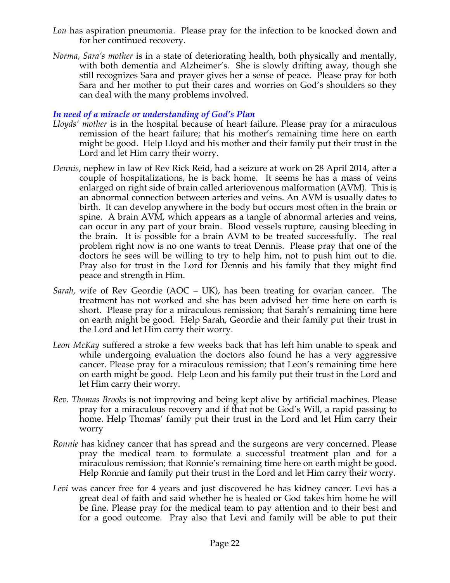- *Lou* has aspiration pneumonia. Please pray for the infection to be knocked down and for her continued recovery.
- *Norma, Sara's mother* is in a state of deteriorating health, both physically and mentally, with both dementia and Alzheimer's. She is slowly drifting away, though she still recognizes Sara and prayer gives her a sense of peace. Please pray for both Sara and her mother to put their cares and worries on God's shoulders so they can deal with the many problems involved.

### *In need of a miracle or understanding of God's Plan*

- *Lloyds' mother* is in the hospital because of heart failure. Please pray for a miraculous remission of the heart failure; that his mother's remaining time here on earth might be good. Help Lloyd and his mother and their family put their trust in the Lord and let Him carry their worry.
- *Dennis*, nephew in law of Rev Rick Reid, had a seizure at work on 28 April 2014, after a couple of hospitalizations, he is back home. It seems he has a mass of veins enlarged on right side of brain called arteriovenous malformation (AVM). This is an abnormal connection between arteries and veins. An AVM is usually dates to birth. It can develop anywhere in the body but occurs most often in the brain or spine. A brain AVM, which appears as a tangle of abnormal arteries and veins, can occur in any part of your brain. Blood vessels rupture, causing bleeding in the brain. It is possible for a brain AVM to be treated successfully. The real problem right now is no one wants to treat Dennis. Please pray that one of the doctors he sees will be willing to try to help him, not to push him out to die. Pray also for trust in the Lord for Dennis and his family that they might find peace and strength in Him.
- *Sarah,* wife of Rev Geordie (AOC UK), has been treating for ovarian cancer. The treatment has not worked and she has been advised her time here on earth is short. Please pray for a miraculous remission; that Sarah's remaining time here on earth might be good. Help Sarah, Geordie and their family put their trust in the Lord and let Him carry their worry.
- *Leon McKay* suffered a stroke a few weeks back that has left him unable to speak and while undergoing evaluation the doctors also found he has a very aggressive cancer. Please pray for a miraculous remission; that Leon's remaining time here on earth might be good. Help Leon and his family put their trust in the Lord and let Him carry their worry.
- *Rev. Thomas Brooks* is not improving and being kept alive by artificial machines. Please pray for a miraculous recovery and if that not be God's Will, a rapid passing to home. Help Thomas' family put their trust in the Lord and let Him carry their worry
- *Ronnie* has kidney cancer that has spread and the surgeons are very concerned. Please pray the medical team to formulate a successful treatment plan and for a miraculous remission; that Ronnie's remaining time here on earth might be good. Help Ronnie and family put their trust in the Lord and let Him carry their worry.
- *Levi* was cancer free for 4 years and just discovered he has kidney cancer. Levi has a great deal of faith and said whether he is healed or God takes him home he will be fine. Please pray for the medical team to pay attention and to their best and for a good outcome. Pray also that Levi and family will be able to put their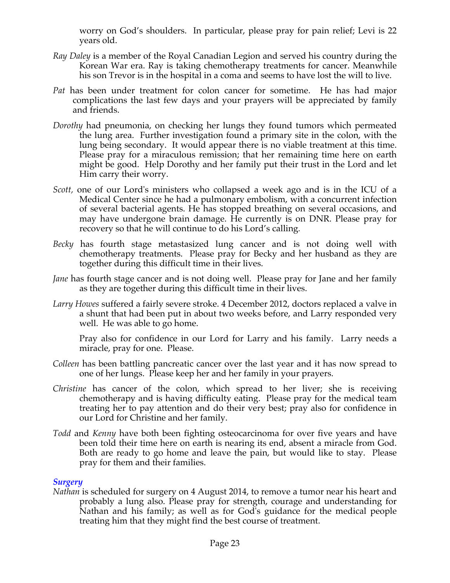worry on God's shoulders. In particular, please pray for pain relief; Levi is 22 years old.

- *Ray Daley* is a member of the Royal Canadian Legion and served his country during the Korean War era. Ray is taking chemotherapy treatments for cancer. Meanwhile his son Trevor is in the hospital in a coma and seems to have lost the will to live.
- *Pat* has been under treatment for colon cancer for sometime. He has had major complications the last few days and your prayers will be appreciated by family and friends.
- *Dorothy* had pneumonia, on checking her lungs they found tumors which permeated the lung area. Further investigation found a primary site in the colon, with the lung being secondary. It would appear there is no viable treatment at this time. Please pray for a miraculous remission; that her remaining time here on earth might be good. Help Dorothy and her family put their trust in the Lord and let Him carry their worry.
- *Scott,* one of our Lord's ministers who collapsed a week ago and is in the ICU of a Medical Center since he had a pulmonary embolism, with a concurrent infection of several bacterial agents. He has stopped breathing on several occasions, and may have undergone brain damage. He currently is on DNR. Please pray for recovery so that he will continue to do his Lord's calling*.*
- *Becky* has fourth stage metastasized lung cancer and is not doing well with chemotherapy treatments. Please pray for Becky and her husband as they are together during this difficult time in their lives.
- *Jane* has fourth stage cancer and is not doing well. Please pray for Jane and her family as they are together during this difficult time in their lives.
- *Larry Howes* suffered a fairly severe stroke. 4 December 2012, doctors replaced a valve in a shunt that had been put in about two weeks before, and Larry responded very well. He was able to go home.

Pray also for confidence in our Lord for Larry and his family. Larry needs a miracle, pray for one. Please.

- *Colleen* has been battling pancreatic cancer over the last year and it has now spread to one of her lungs. Please keep her and her family in your prayers.
- *Christine* has cancer of the colon, which spread to her liver; she is receiving chemotherapy and is having difficulty eating. Please pray for the medical team treating her to pay attention and do their very best; pray also for confidence in our Lord for Christine and her family.
- *Todd* and *Kenny* have both been fighting osteocarcinoma for over five years and have been told their time here on earth is nearing its end, absent a miracle from God. Both are ready to go home and leave the pain, but would like to stay. Please pray for them and their families.

#### *Surgery*

*Nathan* is scheduled for surgery on 4 August 2014, to remove a tumor near his heart and probably a lung also. Please pray for strength, courage and understanding for Nathan and his family; as well as for God's guidance for the medical people treating him that they might find the best course of treatment.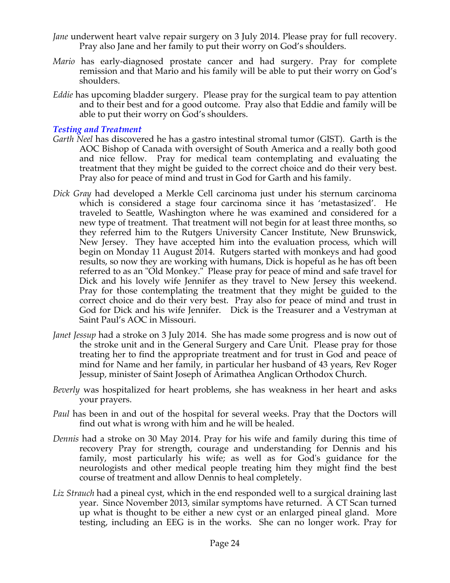- *Jane* underwent heart valve repair surgery on 3 July 2014. Please pray for full recovery. Pray also Jane and her family to put their worry on God's shoulders.
- *Mario* has early-diagnosed prostate cancer and had surgery. Pray for complete remission and that Mario and his family will be able to put their worry on God's shoulders.
- *Eddie* has upcoming bladder surgery. Please pray for the surgical team to pay attention and to their best and for a good outcome. Pray also that Eddie and family will be able to put their worry on God's shoulders.

### *Testing and Treatment*

- *Garth Neel* has discovered he has a gastro intestinal stromal tumor (GIST). Garth is the AOC Bishop of Canada with oversight of South America and a really both good and nice fellow. Pray for medical team contemplating and evaluating the treatment that they might be guided to the correct choice and do their very best. Pray also for peace of mind and trust in God for Garth and his family.
- *Dick Gray* had developed a Merkle Cell carcinoma just under his sternum carcinoma which is considered a stage four carcinoma since it has 'metastasized'. He traveled to Seattle, Washington where he was examined and considered for a new type of treatment. That treatment will not begin for at least three months, so they referred him to the Rutgers University Cancer Institute, New Brunswick, New Jersey. They have accepted him into the evaluation process, which will begin on Monday 11 August 2014. Rutgers started with monkeys and had good results, so now they are working with humans, Dick is hopeful as he has oft been referred to as an "Old Monkey." Please pray for peace of mind and safe travel for Dick and his lovely wife Jennifer as they travel to New Jersey this weekend. Pray for those contemplating the treatment that they might be guided to the correct choice and do their very best. Pray also for peace of mind and trust in God for Dick and his wife Jennifer. Dick is the Treasurer and a Vestryman at Saint Paul's AOC in Missouri.
- *Janet Jessup* had a stroke on 3 July 2014. She has made some progress and is now out of the stroke unit and in the General Surgery and Care Unit. Please pray for those treating her to find the appropriate treatment and for trust in God and peace of mind for Name and her family, in particular her husband of 43 years, Rev Roger Jessup, minister of Saint Joseph of Arimathea Anglican Orthodox Church.
- *Beverly* was hospitalized for heart problems, she has weakness in her heart and asks your prayers.
- *Paul* has been in and out of the hospital for several weeks. Pray that the Doctors will find out what is wrong with him and he will be healed.
- *Dennis* had a stroke on 30 May 2014. Pray for his wife and family during this time of recovery Pray for strength, courage and understanding for Dennis and his family, most particularly his wife; as well as for God's guidance for the neurologists and other medical people treating him they might find the best course of treatment and allow Dennis to heal completely.
- *Liz Strauch* had a pineal cyst, which in the end responded well to a surgical draining last year. Since November 2013, similar symptoms have returned. A CT Scan turned up what is thought to be either a new cyst or an enlarged pineal gland. More testing, including an EEG is in the works. She can no longer work. Pray for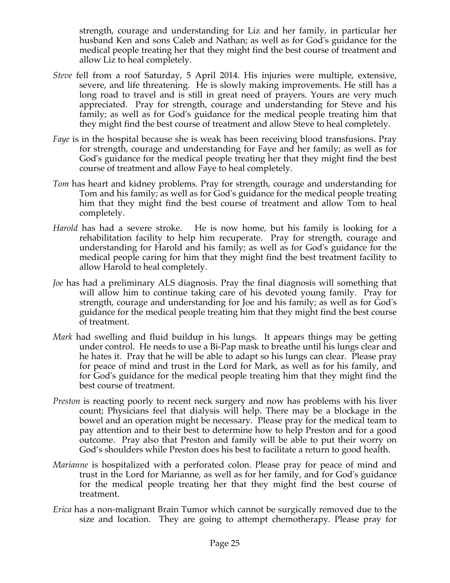strength, courage and understanding for Liz and her family, in particular her husband Ken and sons Caleb and Nathan; as well as for God's guidance for the medical people treating her that they might find the best course of treatment and allow Liz to heal completely.

- *Steve* fell from a roof Saturday, 5 April 2014. His injuries were multiple, extensive, severe, and life threatening. He is slowly making improvements. He still has a long road to travel and is still in great need of prayers. Yours are very much appreciated. Pray for strength, courage and understanding for Steve and his family; as well as for God's guidance for the medical people treating him that they might find the best course of treatment and allow Steve to heal completely.
- *Faye* is in the hospital because she is weak has been receiving blood transfusions. Pray for strength, courage and understanding for Faye and her family; as well as for God's guidance for the medical people treating her that they might find the best course of treatment and allow Faye to heal completely.
- *Tom* has heart and kidney problems. Pray for strength, courage and understanding for Tom and his family; as well as for God's guidance for the medical people treating him that they might find the best course of treatment and allow Tom to heal completely.
- *Harold* has had a severe stroke. He is now home, but his family is looking for a rehabilitation facility to help him recuperate. Pray for strength, courage and understanding for Harold and his family; as well as for God's guidance for the medical people caring for him that they might find the best treatment facility to allow Harold to heal completely.
- *Joe* has had a preliminary ALS diagnosis. Pray the final diagnosis will something that will allow him to continue taking care of his devoted young family. Pray for strength, courage and understanding for Joe and his family; as well as for God's guidance for the medical people treating him that they might find the best course of treatment.
- *Mark* had swelling and fluid buildup in his lungs. It appears things may be getting under control. He needs to use a Bi-Pap mask to breathe until his lungs clear and he hates it. Pray that he will be able to adapt so his lungs can clear. Please pray for peace of mind and trust in the Lord for Mark, as well as for his family, and for God's guidance for the medical people treating him that they might find the best course of treatment.
- *Preston* is reacting poorly to recent neck surgery and now has problems with his liver count; Physicians feel that dialysis will help. There may be a blockage in the bowel and an operation might be necessary. Please pray for the medical team to pay attention and to their best to determine how to help Preston and for a good outcome. Pray also that Preston and family will be able to put their worry on God's shoulders while Preston does his best to facilitate a return to good health.
- *Marianne* is hospitalized with a perforated colon. Please pray for peace of mind and trust in the Lord for Marianne, as well as for her family, and for God's guidance for the medical people treating her that they might find the best course of treatment.
- *Erica* has a non-malignant Brain Tumor which cannot be surgically removed due to the size and location. They are going to attempt chemotherapy. Please pray for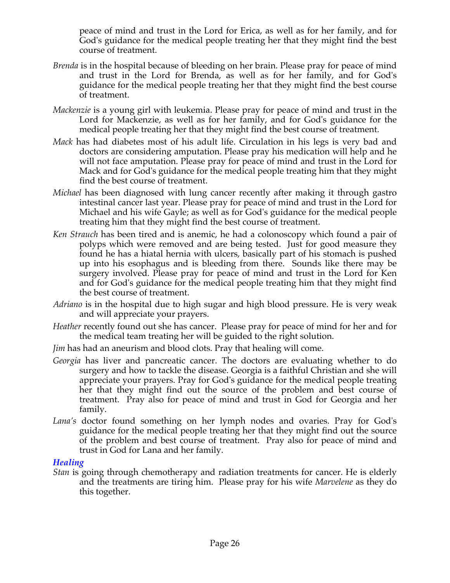peace of mind and trust in the Lord for Erica, as well as for her family, and for God's guidance for the medical people treating her that they might find the best course of treatment.

- *Brenda* is in the hospital because of bleeding on her brain. Please pray for peace of mind and trust in the Lord for Brenda, as well as for her family, and for God's guidance for the medical people treating her that they might find the best course of treatment.
- *Mackenzie* is a young girl with leukemia. Please pray for peace of mind and trust in the Lord for Mackenzie, as well as for her family, and for God's guidance for the medical people treating her that they might find the best course of treatment.
- *Mack* has had diabetes most of his adult life. Circulation in his legs is very bad and doctors are considering amputation. Please pray his medication will help and he will not face amputation. Please pray for peace of mind and trust in the Lord for Mack and for God's guidance for the medical people treating him that they might find the best course of treatment.
- *Michael* has been diagnosed with lung cancer recently after making it through gastro intestinal cancer last year. Please pray for peace of mind and trust in the Lord for Michael and his wife Gayle; as well as for God's guidance for the medical people treating him that they might find the best course of treatment.
- *Ken Strauch* has been tired and is anemic, he had a colonoscopy which found a pair of polyps which were removed and are being tested. Just for good measure they found he has a hiatal hernia with ulcers, basically part of his stomach is pushed up into his esophagus and is bleeding from there. Sounds like there may be surgery involved. Please pray for peace of mind and trust in the Lord for Ken and for God's guidance for the medical people treating him that they might find the best course of treatment.
- *Adriano* is in the hospital due to high sugar and high blood pressure. He is very weak and will appreciate your prayers.
- *Heather* recently found out she has cancer. Please pray for peace of mind for her and for the medical team treating her will be guided to the right solution.
- *Jim* has had an aneurism and blood clots. Pray that healing will come.
- *Georgia* has liver and pancreatic cancer. The doctors are evaluating whether to do surgery and how to tackle the disease. Georgia is a faithful Christian and she will appreciate your prayers. Pray for God's guidance for the medical people treating her that they might find out the source of the problem and best course of treatment. Pray also for peace of mind and trust in God for Georgia and her family.
- *Lana's* doctor found something on her lymph nodes and ovaries. Pray for God's guidance for the medical people treating her that they might find out the source of the problem and best course of treatment. Pray also for peace of mind and trust in God for Lana and her family.

#### *Healing*

*Stan* is going through chemotherapy and radiation treatments for cancer. He is elderly and the treatments are tiring him. Please pray for his wife *Marvelene* as they do this together.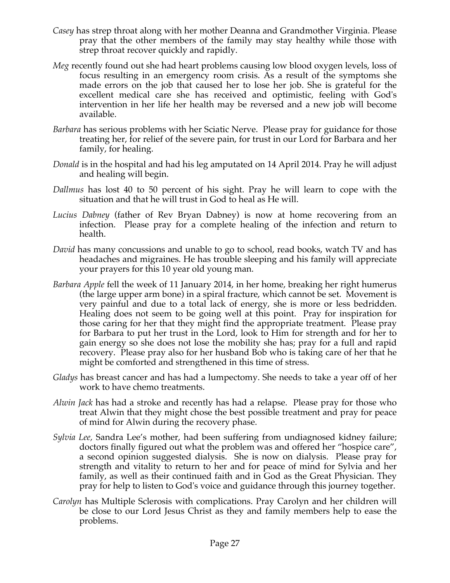- *Casey* has strep throat along with her mother Deanna and Grandmother Virginia. Please pray that the other members of the family may stay healthy while those with strep throat recover quickly and rapidly.
- *Meg* recently found out she had heart problems causing low blood oxygen levels, loss of focus resulting in an emergency room crisis. As a result of the symptoms she made errors on the job that caused her to lose her job. She is grateful for the excellent medical care she has received and optimistic, feeling with God's intervention in her life her health may be reversed and a new job will become available.
- *Barbara* has serious problems with her Sciatic Nerve. Please pray for guidance for those treating her, for relief of the severe pain, for trust in our Lord for Barbara and her family, for healing.
- *Donald* is in the hospital and had his leg amputated on 14 April 2014. Pray he will adjust and healing will begin.
- *Dallmus* has lost 40 to 50 percent of his sight. Pray he will learn to cope with the situation and that he will trust in God to heal as He will.
- *Lucius Dabney* (father of Rev Bryan Dabney) is now at home recovering from an infection. Please pray for a complete healing of the infection and return to health.
- *David* has many concussions and unable to go to school, read books, watch TV and has headaches and migraines. He has trouble sleeping and his family will appreciate your prayers for this 10 year old young man.
- *Barbara Apple* fell the week of 11 January 2014, in her home, breaking her right humerus (the large upper arm bone) in a spiral fracture, which cannot be set. Movement is very painful and due to a total lack of energy, she is more or less bedridden. Healing does not seem to be going well at this point. Pray for inspiration for those caring for her that they might find the appropriate treatment. Please pray for Barbara to put her trust in the Lord, look to Him for strength and for her to gain energy so she does not lose the mobility she has; pray for a full and rapid recovery. Please pray also for her husband Bob who is taking care of her that he might be comforted and strengthened in this time of stress.
- *Gladys* has breast cancer and has had a lumpectomy. She needs to take a year off of her work to have chemo treatments.
- *Alwin Jack* has had a stroke and recently has had a relapse. Please pray for those who treat Alwin that they might chose the best possible treatment and pray for peace of mind for Alwin during the recovery phase.
- *Sylvia Lee,* Sandra Lee's mother, had been suffering from undiagnosed kidney failure; doctors finally figured out what the problem was and offered her "hospice care", a second opinion suggested dialysis. She is now on dialysis. Please pray for strength and vitality to return to her and for peace of mind for Sylvia and her family, as well as their continued faith and in God as the Great Physician. They pray for help to listen to God's voice and guidance through this journey together.
- *Carolyn* has Multiple Sclerosis with complications. Pray Carolyn and her children will be close to our Lord Jesus Christ as they and family members help to ease the problems.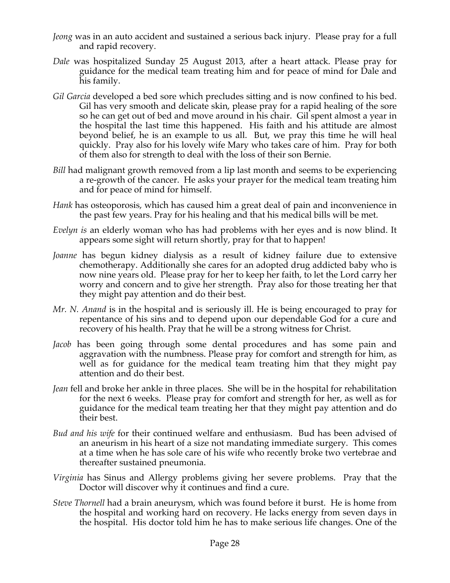- *Jeong* was in an auto accident and sustained a serious back injury. Please pray for a full and rapid recovery.
- *Dale* was hospitalized Sunday 25 August 2013, after a heart attack. Please pray for guidance for the medical team treating him and for peace of mind for Dale and his family.
- *Gil Garcia* developed a bed sore which precludes sitting and is now confined to his bed. Gil has very smooth and delicate skin, please pray for a rapid healing of the sore so he can get out of bed and move around in his chair. Gil spent almost a year in the hospital the last time this happened. His faith and his attitude are almost beyond belief, he is an example to us all. But, we pray this time he will heal quickly. Pray also for his lovely wife Mary who takes care of him. Pray for both of them also for strength to deal with the loss of their son Bernie.
- *Bill* had malignant growth removed from a lip last month and seems to be experiencing a re-growth of the cancer. He asks your prayer for the medical team treating him and for peace of mind for himself.
- *Hank* has osteoporosis, which has caused him a great deal of pain and inconvenience in the past few years. Pray for his healing and that his medical bills will be met.
- *Evelyn is* an elderly woman who has had problems with her eyes and is now blind. It appears some sight will return shortly, pray for that to happen!
- *Joanne* has begun kidney dialysis as a result of kidney failure due to extensive chemotherapy. Additionally she cares for an adopted drug addicted baby who is now nine years old. Please pray for her to keep her faith, to let the Lord carry her worry and concern and to give her strength. Pray also for those treating her that they might pay attention and do their best.
- *Mr. N. Anand* is in the hospital and is seriously ill. He is being encouraged to pray for repentance of his sins and to depend upon our dependable God for a cure and recovery of his health. Pray that he will be a strong witness for Christ.
- *Jacob* has been going through some dental procedures and has some pain and aggravation with the numbness. Please pray for comfort and strength for him, as well as for guidance for the medical team treating him that they might pay attention and do their best.
- *Jean* fell and broke her ankle in three places. She will be in the hospital for rehabilitation for the next 6 weeks. Please pray for comfort and strength for her, as well as for guidance for the medical team treating her that they might pay attention and do their best.
- *Bud and his wife* for their continued welfare and enthusiasm. Bud has been advised of an aneurism in his heart of a size not mandating immediate surgery. This comes at a time when he has sole care of his wife who recently broke two vertebrae and thereafter sustained pneumonia.
- *Virginia* has Sinus and Allergy problems giving her severe problems. Pray that the Doctor will discover why it continues and find a cure.
- *Steve Thornell* had a brain aneurysm, which was found before it burst. He is home from the hospital and working hard on recovery. He lacks energy from seven days in the hospital. His doctor told him he has to make serious life changes. One of the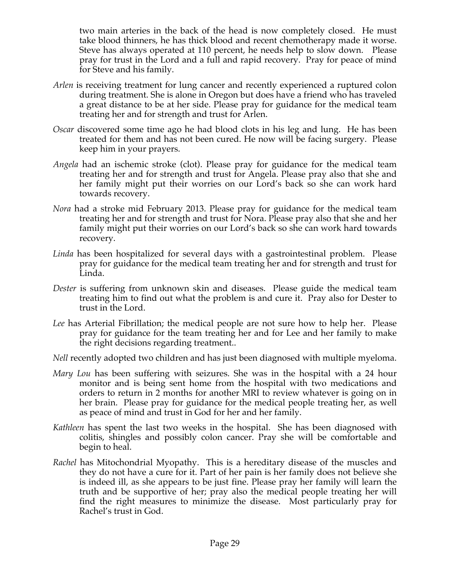two main arteries in the back of the head is now completely closed. He must take blood thinners, he has thick blood and recent chemotherapy made it worse. Steve has always operated at 110 percent, he needs help to slow down. Please pray for trust in the Lord and a full and rapid recovery. Pray for peace of mind for Steve and his family.

- *Arlen* is receiving treatment for lung cancer and recently experienced a ruptured colon during treatment. She is alone in Oregon but does have a friend who has traveled a great distance to be at her side. Please pray for guidance for the medical team treating her and for strength and trust for Arlen.
- *Oscar* discovered some time ago he had blood clots in his leg and lung. He has been treated for them and has not been cured. He now will be facing surgery. Please keep him in your prayers.
- *Angela* had an ischemic stroke (clot). Please pray for guidance for the medical team treating her and for strength and trust for Angela. Please pray also that she and her family might put their worries on our Lord's back so she can work hard towards recovery.
- *Nora* had a stroke mid February 2013. Please pray for guidance for the medical team treating her and for strength and trust for Nora. Please pray also that she and her family might put their worries on our Lord's back so she can work hard towards recovery.
- *Linda* has been hospitalized for several days with a gastrointestinal problem. Please pray for guidance for the medical team treating her and for strength and trust for Linda.
- *Dester* is suffering from unknown skin and diseases. Please guide the medical team treating him to find out what the problem is and cure it. Pray also for Dester to trust in the Lord.
- *Lee* has Arterial Fibrillation; the medical people are not sure how to help her. Please pray for guidance for the team treating her and for Lee and her family to make the right decisions regarding treatment..
- *Nell* recently adopted two children and has just been diagnosed with multiple myeloma.
- *Mary Lou* has been suffering with seizures. She was in the hospital with a 24 hour monitor and is being sent home from the hospital with two medications and orders to return in 2 months for another MRI to review whatever is going on in her brain. Please pray for guidance for the medical people treating her, as well as peace of mind and trust in God for her and her family.
- *Kathleen* has spent the last two weeks in the hospital. She has been diagnosed with colitis, shingles and possibly colon cancer. Pray she will be comfortable and begin to heal.
- *Rachel* has Mitochondrial Myopathy. This is a hereditary disease of the muscles and they do not have a cure for it. Part of her pain is her family does not believe she is indeed ill, as she appears to be just fine. Please pray her family will learn the truth and be supportive of her; pray also the medical people treating her will find the right measures to minimize the disease. Most particularly pray for Rachel's trust in God.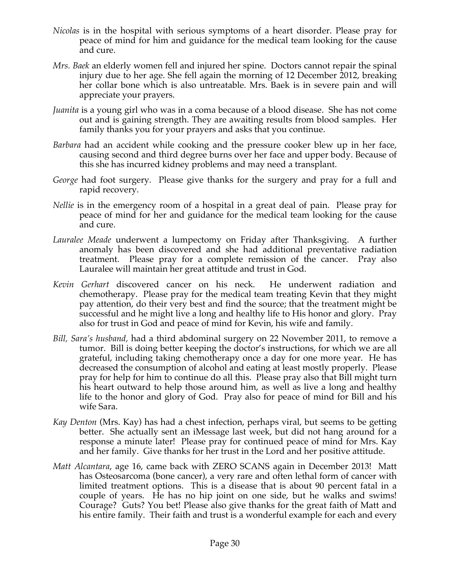- *Nicolas* is in the hospital with serious symptoms of a heart disorder. Please pray for peace of mind for him and guidance for the medical team looking for the cause and cure.
- *Mrs. Baek* an elderly women fell and injured her spine. Doctors cannot repair the spinal injury due to her age. She fell again the morning of 12 December 2012, breaking her collar bone which is also untreatable. Mrs. Baek is in severe pain and will appreciate your prayers.
- *Juanita* is a young girl who was in a coma because of a blood disease. She has not come out and is gaining strength. They are awaiting results from blood samples. Her family thanks you for your prayers and asks that you continue.
- *Barbara* had an accident while cooking and the pressure cooker blew up in her face, causing second and third degree burns over her face and upper body. Because of this she has incurred kidney problems and may need a transplant.
- *George* had foot surgery. Please give thanks for the surgery and pray for a full and rapid recovery.
- *Nellie* is in the emergency room of a hospital in a great deal of pain. Please pray for peace of mind for her and guidance for the medical team looking for the cause and cure.
- *Lauralee Meade* underwent a lumpectomy on Friday after Thanksgiving. A further anomaly has been discovered and she had additional preventative radiation treatment. Please pray for a complete remission of the cancer. Pray also Lauralee will maintain her great attitude and trust in God.
- *Kevin Gerhart* discovered cancer on his neck. He underwent radiation and chemotherapy. Please pray for the medical team treating Kevin that they might pay attention, do their very best and find the source; that the treatment might be successful and he might live a long and healthy life to His honor and glory. Pray also for trust in God and peace of mind for Kevin, his wife and family.
- *Bill, Sara's husband,* had a third abdominal surgery on 22 November 2011, to remove a tumor. Bill is doing better keeping the doctor's instructions, for which we are all grateful, including taking chemotherapy once a day for one more year. He has decreased the consumption of alcohol and eating at least mostly properly. Please pray for help for him to continue do all this. Please pray also that Bill might turn his heart outward to help those around him, as well as live a long and healthy life to the honor and glory of God. Pray also for peace of mind for Bill and his wife Sara.
- *Kay Denton* (Mrs. Kay) has had a chest infection, perhaps viral, but seems to be getting better. She actually sent an iMessage last week, but did not hang around for a response a minute later! Please pray for continued peace of mind for Mrs. Kay and her family. Give thanks for her trust in the Lord and her positive attitude.
- *Matt Alcantara*, age 16, came back with ZERO SCANS again in December 2013! Matt has Osteosarcoma (bone cancer), a very rare and often lethal form of cancer with limited treatment options. This is a disease that is about 90 percent fatal in a couple of years. He has no hip joint on one side, but he walks and swims! Courage? Guts? You bet! Please also give thanks for the great faith of Matt and his entire family. Their faith and trust is a wonderful example for each and every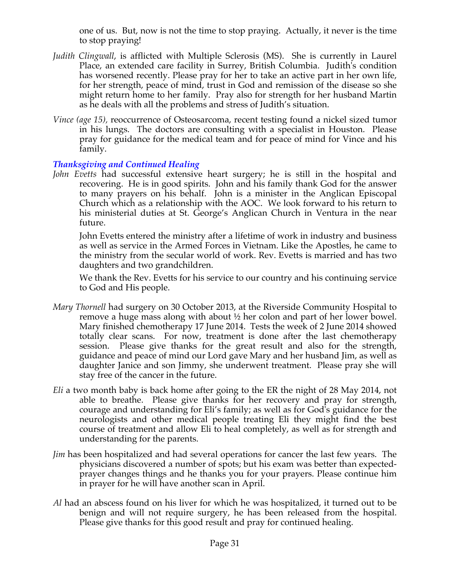one of us. But, now is not the time to stop praying. Actually, it never is the time to stop praying!

- *Judith Clingwall*, is afflicted with Multiple Sclerosis (MS). She is currently in Laurel Place, an extended care facility in Surrey, British Columbia. Judith's condition has worsened recently. Please pray for her to take an active part in her own life, for her strength, peace of mind, trust in God and remission of the disease so she might return home to her family. Pray also for strength for her husband Martin as he deals with all the problems and stress of Judith's situation.
- *Vince (age 15),* reoccurrence of Osteosarcoma, recent testing found a nickel sized tumor in his lungs. The doctors are consulting with a specialist in Houston. Please pray for guidance for the medical team and for peace of mind for Vince and his family.

## *Thanksgiving and Continued Healing*

*John Evetts* had successful extensive heart surgery; he is still in the hospital and recovering. He is in good spirits. John and his family thank God for the answer to many prayers on his behalf. John is a minister in the Anglican Episcopal Church which as a relationship with the AOC. We look forward to his return to his ministerial duties at St. George's Anglican Church in Ventura in the near future.

John Evetts entered the ministry after a lifetime of work in industry and business as well as service in the Armed Forces in Vietnam. Like the Apostles, he came to the ministry from the secular world of work. Rev. Evetts is married and has two daughters and two grandchildren.

We thank the Rev. Evetts for his service to our country and his continuing service to God and His people.

- *Mary Thornell* had surgery on 30 October 2013, at the Riverside Community Hospital to remove a huge mass along with about ½ her colon and part of her lower bowel. Mary finished chemotherapy 17 June 2014. Tests the week of 2 June 2014 showed totally clear scans. For now, treatment is done after the last chemotherapy session. Please give thanks for the great result and also for the strength, guidance and peace of mind our Lord gave Mary and her husband Jim, as well as daughter Janice and son Jimmy, she underwent treatment. Please pray she will stay free of the cancer in the future.
- *Eli* a two month baby is back home after going to the ER the night of 28 May 2014, not able to breathe. Please give thanks for her recovery and pray for strength, courage and understanding for Eli's family; as well as for God's guidance for the neurologists and other medical people treating Eli they might find the best course of treatment and allow Eli to heal completely, as well as for strength and understanding for the parents.
- *Jim* has been hospitalized and had several operations for cancer the last few years. The physicians discovered a number of spots; but his exam was better than expectedprayer changes things and he thanks you for your prayers. Please continue him in prayer for he will have another scan in April.
- *Al* had an abscess found on his liver for which he was hospitalized, it turned out to be benign and will not require surgery, he has been released from the hospital. Please give thanks for this good result and pray for continued healing.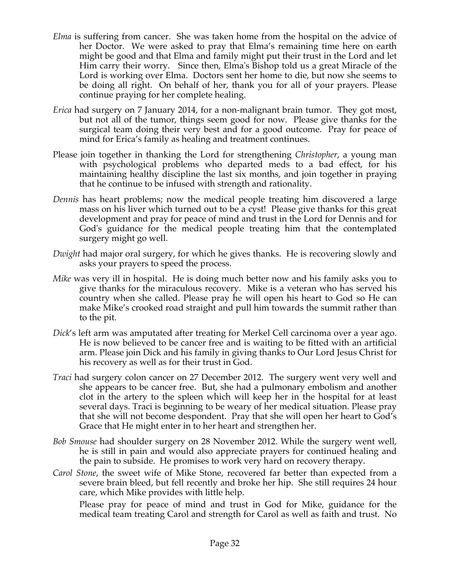- *Elma* is suffering from cancer. She was taken home from the hospital on the advice of her Doctor. We were asked to pray that Elma's remaining time here on earth might be good and that Elma and family might put their trust in the Lord and let Him carry their worry. Since then, Elma's Bishop told us a great Miracle of the Lord is working over Elma. Doctors sent her home to die, but now she seems to be doing all right. On behalf of her, thank you for all of your prayers. Please continue praying for her complete healing.
- *Erica* had surgery on 7 January 2014, for a non-malignant brain tumor. They got most, but not all of the tumor, things seem good for now. Please give thanks for the surgical team doing their very best and for a good outcome. Pray for peace of mind for Erica's family as healing and treatment continues.
- Please join together in thanking the Lord for strengthening *Christopher*, a young man with psychological problems who departed meds to a bad effect, for his maintaining healthy discipline the last six months, and join together in praying that he continue to be infused with strength and rationality.
- *Dennis* has heart problems; now the medical people treating him discovered a large mass on his liver which turned out to be a cyst! Please give thanks for this great development and pray for peace of mind and trust in the Lord for Dennis and for God's guidance for the medical people treating him that the contemplated surgery might go well.
- *Dwight* had major oral surgery, for which he gives thanks. He is recovering slowly and asks your prayers to speed the process.
- *Mike* was very ill in hospital. He is doing much better now and his family asks you to give thanks for the miraculous recovery. Mike is a veteran who has served his country when she called. Please pray he will open his heart to God so He can make Mike's crooked road straight and pull him towards the summit rather than to the pit.
- *Dick*'s left arm was amputated after treating for Merkel Cell carcinoma over a year ago. He is now believed to be cancer free and is waiting to be fitted with an artificial arm. Please join Dick and his family in giving thanks to Our Lord Jesus Christ for his recovery as well as for their trust in God.
- *Traci* had surgery colon cancer on 27 December 2012. The surgery went very well and she appears to be cancer free. But, she had a pulmonary embolism and another clot in the artery to the spleen which will keep her in the hospital for at least several days. Traci is beginning to be weary of her medical situation. Please pray that she will not become despondent. Pray that she will open her heart to God's Grace that He might enter in to her heart and strengthen her.
- *Bob Smouse* had shoulder surgery on 28 November 2012. While the surgery went well, he is still in pain and would also appreciate prayers for continued healing and the pain to subside. He promises to work very hard on recovery therapy.
- *Carol Stone*, the sweet wife of Mike Stone, recovered far better than expected from a severe brain bleed, but fell recently and broke her hip. She still requires 24 hour care, which Mike provides with little help.

Please pray for peace of mind and trust in God for Mike, guidance for the medical team treating Carol and strength for Carol as well as faith and trust. No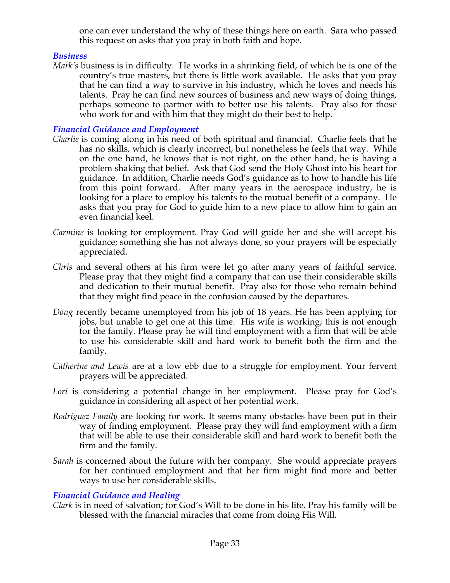one can ever understand the why of these things here on earth. Sara who passed this request on asks that you pray in both faith and hope.

## *Business*

*Mark's* business is in difficulty. He works in a shrinking field, of which he is one of the country's true masters, but there is little work available. He asks that you pray that he can find a way to survive in his industry, which he loves and needs his talents. Pray he can find new sources of business and new ways of doing things, perhaps someone to partner with to better use his talents. Pray also for those who work for and with him that they might do their best to help.

# *Financial Guidance and Employment*

- *Charlie* is coming along in his need of both spiritual and financial. Charlie feels that he has no skills, which is clearly incorrect, but nonetheless he feels that way. While on the one hand, he knows that is not right, on the other hand, he is having a problem shaking that belief. Ask that God send the Holy Ghost into his heart for guidance. In addition, Charlie needs God's guidance as to how to handle his life from this point forward. After many years in the aerospace industry, he is looking for a place to employ his talents to the mutual benefit of a company. He asks that you pray for God to guide him to a new place to allow him to gain an even financial keel.
- *Carmine* is looking for employment. Pray God will guide her and she will accept his guidance; something she has not always done, so your prayers will be especially appreciated.
- *Chris* and several others at his firm were let go after many years of faithful service. Please pray that they might find a company that can use their considerable skills and dedication to their mutual benefit. Pray also for those who remain behind that they might find peace in the confusion caused by the departures.
- *Doug* recently became unemployed from his job of 18 years. He has been applying for jobs, but unable to get one at this time. His wife is working; this is not enough for the family. Please pray he will find employment with a firm that will be able to use his considerable skill and hard work to benefit both the firm and the family.
- *Catherine and Lewis* are at a low ebb due to a struggle for employment. Your fervent prayers will be appreciated.
- Lori is considering a potential change in her employment. Please pray for God's guidance in considering all aspect of her potential work.
- *Rodriguez Family* are looking for work. It seems many obstacles have been put in their way of finding employment. Please pray they will find employment with a firm that will be able to use their considerable skill and hard work to benefit both the firm and the family.
- *Sarah* is concerned about the future with her company. She would appreciate prayers for her continued employment and that her firm might find more and better ways to use her considerable skills.

## *Financial Guidance and Healing*

*Clark* is in need of salvation; for God's Will to be done in his life. Pray his family will be blessed with the financial miracles that come from doing His Will.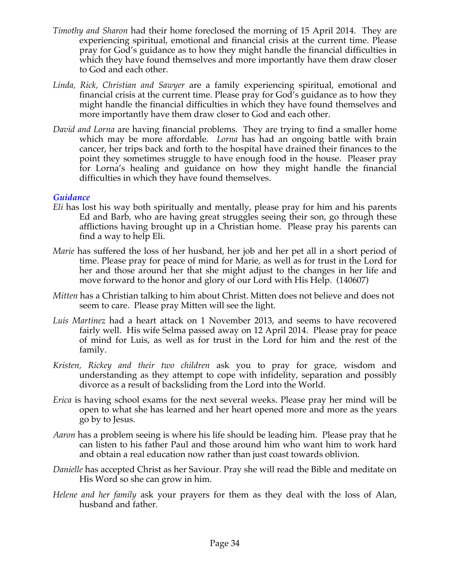- *Timothy and Sharon* had their home foreclosed the morning of 15 April 2014. They are experiencing spiritual, emotional and financial crisis at the current time. Please pray for God's guidance as to how they might handle the financial difficulties in which they have found themselves and more importantly have them draw closer to God and each other.
- *Linda, Rick, Christian and Sawyer* are a family experiencing spiritual, emotional and financial crisis at the current time. Please pray for God's guidance as to how they might handle the financial difficulties in which they have found themselves and more importantly have them draw closer to God and each other.
- *David and Lorna* are having financial problems. They are trying to find a smaller home which may be more affordable. *Lorna* has had an ongoing battle with brain cancer, her trips back and forth to the hospital have drained their finances to the point they sometimes struggle to have enough food in the house. Pleaser pray for Lorna's healing and guidance on how they might handle the financial difficulties in which they have found themselves.

#### *Guidance*

- *Eli* has lost his way both spiritually and mentally, please pray for him and his parents Ed and Barb, who are having great struggles seeing their son, go through these afflictions having brought up in a Christian home. Please pray his parents can find a way to help Eli.
- *Marie* has suffered the loss of her husband, her job and her pet all in a short period of time. Please pray for peace of mind for Marie, as well as for trust in the Lord for her and those around her that she might adjust to the changes in her life and move forward to the honor and glory of our Lord with His Help. (140607)
- *Mitten* has a Christian talking to him about Christ. Mitten does not believe and does not seem to care. Please pray Mitten will see the light.
- *Luis Martinez* had a heart attack on 1 November 2013, and seems to have recovered fairly well. His wife Selma passed away on 12 April 2014. Please pray for peace of mind for Luis, as well as for trust in the Lord for him and the rest of the family.
- *Kristen, Rickey and their two children* ask you to pray for grace, wisdom and understanding as they attempt to cope with infidelity, separation and possibly divorce as a result of backsliding from the Lord into the World.
- *Erica* is having school exams for the next several weeks. Please pray her mind will be open to what she has learned and her heart opened more and more as the years go by to Jesus.
- *Aaron* has a problem seeing is where his life should be leading him. Please pray that he can listen to his father Paul and those around him who want him to work hard and obtain a real education now rather than just coast towards oblivion.
- *Danielle* has accepted Christ as her Saviour. Pray she will read the Bible and meditate on His Word so she can grow in him.
- *Helene and her family* ask your prayers for them as they deal with the loss of Alan, husband and father.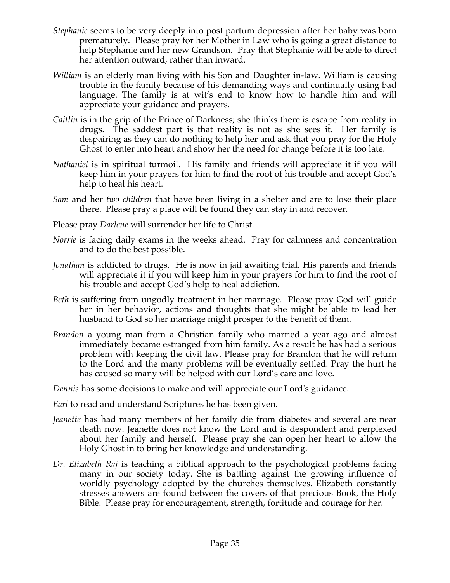- *Stephanie* seems to be very deeply into post partum depression after her baby was born prematurely. Please pray for her Mother in Law who is going a great distance to help Stephanie and her new Grandson. Pray that Stephanie will be able to direct her attention outward, rather than inward.
- *William* is an elderly man living with his Son and Daughter in-law. William is causing trouble in the family because of his demanding ways and continually using bad language. The family is at wit's end to know how to handle him and will appreciate your guidance and prayers.
- *Caitlin* is in the grip of the Prince of Darkness; she thinks there is escape from reality in drugs. The saddest part is that reality is not as she sees it. Her family is despairing as they can do nothing to help her and ask that you pray for the Holy Ghost to enter into heart and show her the need for change before it is too late.
- *Nathaniel* is in spiritual turmoil. His family and friends will appreciate it if you will keep him in your prayers for him to find the root of his trouble and accept God's help to heal his heart.
- *Sam* and her *two children* that have been living in a shelter and are to lose their place there. Please pray a place will be found they can stay in and recover.
- Please pray *Darlene* will surrender her life to Christ.
- *Norrie* is facing daily exams in the weeks ahead. Pray for calmness and concentration and to do the best possible.
- *Jonathan* is addicted to drugs. He is now in jail awaiting trial. His parents and friends will appreciate it if you will keep him in your prayers for him to find the root of his trouble and accept God's help to heal addiction.
- *Beth* is suffering from ungodly treatment in her marriage. Please pray God will guide her in her behavior, actions and thoughts that she might be able to lead her husband to God so her marriage might prosper to the benefit of them.
- *Brandon* a young man from a Christian family who married a year ago and almost immediately became estranged from him family. As a result he has had a serious problem with keeping the civil law. Please pray for Brandon that he will return to the Lord and the many problems will be eventually settled. Pray the hurt he has caused so many will be helped with our Lord's care and love.

*Dennis* has some decisions to make and will appreciate our Lord's guidance.

*Earl* to read and understand Scriptures he has been given.

- *Jeanette* has had many members of her family die from diabetes and several are near death now. Jeanette does not know the Lord and is despondent and perplexed about her family and herself. Please pray she can open her heart to allow the Holy Ghost in to bring her knowledge and understanding.
- *Dr. Elizabeth Raj* is teaching a biblical approach to the psychological problems facing many in our society today. She is battling against the growing influence of worldly psychology adopted by the churches themselves. Elizabeth constantly stresses answers are found between the covers of that precious Book, the Holy Bible. Please pray for encouragement, strength, fortitude and courage for her.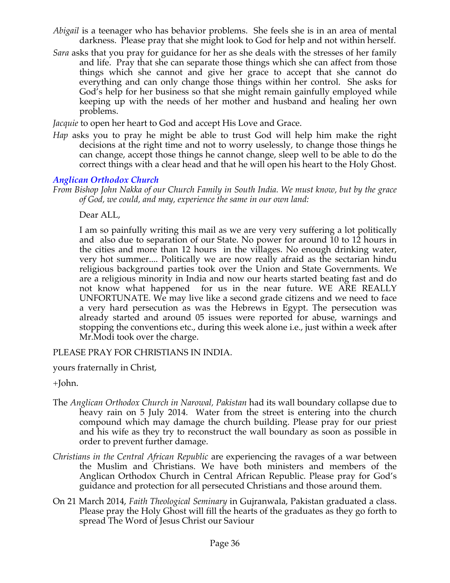- *Abigail* is a teenager who has behavior problems. She feels she is in an area of mental darkness. Please pray that she might look to God for help and not within herself.
- *Sara* asks that you pray for guidance for her as she deals with the stresses of her family and life. Pray that she can separate those things which she can affect from those things which she cannot and give her grace to accept that she cannot do everything and can only change those things within her control. She asks for God's help for her business so that she might remain gainfully employed while keeping up with the needs of her mother and husband and healing her own problems.

*Jacquie* to open her heart to God and accept His Love and Grace.

*Hap* asks you to pray he might be able to trust God will help him make the right decisions at the right time and not to worry uselessly, to change those things he can change, accept those things he cannot change, sleep well to be able to do the correct things with a clear head and that he will open his heart to the Holy Ghost.

### *Anglican Orthodox Church*

*From Bishop John Nakka of our Church Family in South India. We must know, but by the grace of God, we could, and may, experience the same in our own land:*

Dear ALL,

I am so painfully writing this mail as we are very very suffering a lot politically and also due to separation of our State. No power for around 10 to 12 hours in the cities and more than 12 hours in the villages. No enough drinking water, very hot summer.... Politically we are now really afraid as the sectarian hindu religious background parties took over the Union and State Governments. We are a religious minority in India and now our hearts started beating fast and do not know what happened for us in the near future. WE ARE REALLY UNFORTUNATE. We may live like a second grade citizens and we need to face a very hard persecution as was the Hebrews in Egypt. The persecution was already started and around 05 issues were reported for abuse, warnings and stopping the conventions etc., during this week alone i.e., just within a week after Mr.Modi took over the charge.

PLEASE PRAY FOR CHRISTIANS IN INDIA.

yours fraternally in Christ,

+John.

- The *Anglican Orthodox Church in Narowal, Pakistan* had its wall boundary collapse due to heavy rain on 5 July 2014. Water from the street is entering into the church compound which may damage the church building. Please pray for our priest and his wife as they try to reconstruct the wall boundary as soon as possible in order to prevent further damage.
- *Christians in the Central African Republic* are experiencing the ravages of a war between the Muslim and Christians. We have both ministers and members of the Anglican Orthodox Church in Central African Republic. Please pray for God's guidance and protection for all persecuted Christians and those around them.
- On 21 March 2014, *Faith Theological Seminary* in Gujranwala, Pakistan graduated a class. Please pray the Holy Ghost will fill the hearts of the graduates as they go forth to spread The Word of Jesus Christ our Saviour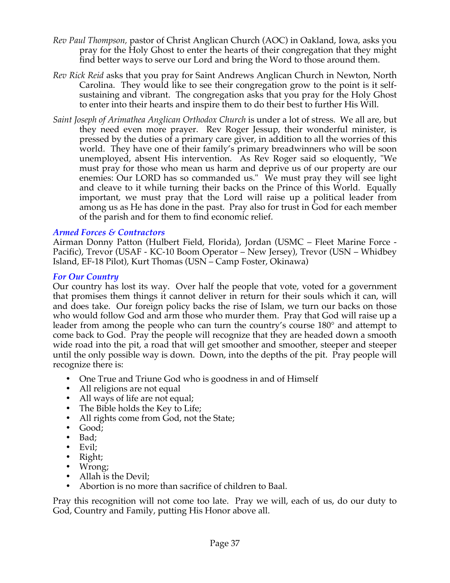- *Rev Paul Thompson,* pastor of Christ Anglican Church (AOC) in Oakland, Iowa, asks you pray for the Holy Ghost to enter the hearts of their congregation that they might find better ways to serve our Lord and bring the Word to those around them.
- *Rev Rick Reid* asks that you pray for Saint Andrews Anglican Church in Newton, North Carolina. They would like to see their congregation grow to the point is it selfsustaining and vibrant. The congregation asks that you pray for the Holy Ghost to enter into their hearts and inspire them to do their best to further His Will.
- *Saint Joseph of Arimathea Anglican Orthodox Church* is under a lot of stress. We all are, but they need even more prayer. Rev Roger Jessup, their wonderful minister, is pressed by the duties of a primary care giver, in addition to all the worries of this world. They have one of their family's primary breadwinners who will be soon unemployed, absent His intervention. As Rev Roger said so eloquently, "We must pray for those who mean us harm and deprive us of our property are our enemies: Our LORD has so commanded us." We must pray they will see light and cleave to it while turning their backs on the Prince of this World. Equally important, we must pray that the Lord will raise up a political leader from among us as He has done in the past. Pray also for trust in God for each member of the parish and for them to find economic relief.

#### *Armed Forces & Contractors*

Airman Donny Patton (Hulbert Field, Florida), Jordan (USMC – Fleet Marine Force - Pacific), Trevor (USAF - KC-10 Boom Operator – New Jersey), Trevor (USN – Whidbey Island, EF-18 Pilot), Kurt Thomas (USN – Camp Foster, Okinawa)

#### *For Our Country*

Our country has lost its way. Over half the people that vote, voted for a government that promises them things it cannot deliver in return for their souls which it can, will and does take. Our foreign policy backs the rise of Islam, we turn our backs on those who would follow God and arm those who murder them. Pray that God will raise up a leader from among the people who can turn the country's course 180° and attempt to come back to God. Pray the people will recognize that they are headed down a smooth wide road into the pit, a road that will get smoother and smoother, steeper and steeper until the only possible way is down. Down, into the depths of the pit. Pray people will recognize there is:

- One True and Triune God who is goodness in and of Himself
- All religions are not equal
- All ways of life are not equal;
- The Bible holds the Key to Life;
- All rights come from God, not the State;
- Good;
- Bad;
- Evil;
- Right;
- Wrong;
- Allah is the Devil;
- Abortion is no more than sacrifice of children to Baal.

Pray this recognition will not come too late. Pray we will, each of us, do our duty to God, Country and Family, putting His Honor above all.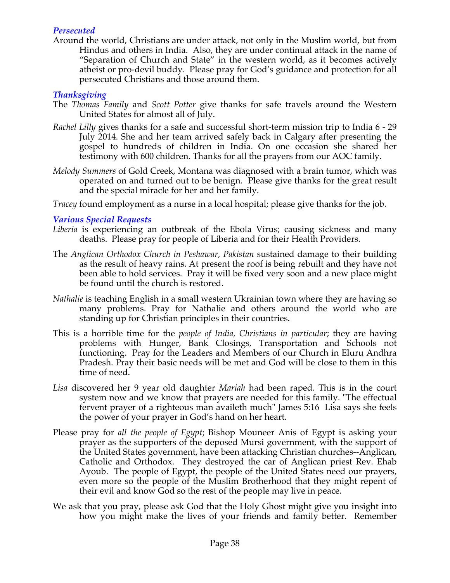### *Persecuted*

Around the world, Christians are under attack, not only in the Muslim world, but from Hindus and others in India. Also, they are under continual attack in the name of "Separation of Church and State" in the western world, as it becomes actively atheist or pro-devil buddy. Please pray for God's guidance and protection for all persecuted Christians and those around them.

### *Thanksgiving*

- The *Thomas Family* and *Scott Potter* give thanks for safe travels around the Western United States for almost all of July.
- *Rachel Lilly* gives thanks for a safe and successful short-term mission trip to India 6 29 July 2014. She and her team arrived safely back in Calgary after presenting the gospel to hundreds of children in India. On one occasion she shared her testimony with 600 children. Thanks for all the prayers from our AOC family.
- *Melody Summers* of Gold Creek, Montana was diagnosed with a brain tumor, which was operated on and turned out to be benign. Please give thanks for the great result and the special miracle for her and her family.
- *Tracey* found employment as a nurse in a local hospital; please give thanks for the job.

### *Various Special Requests*

- *Liberia* is experiencing an outbreak of the Ebola Virus; causing sickness and many deaths. Please pray for people of Liberia and for their Health Providers.
- The *Anglican Orthodox Church in Peshawar, Pakistan* sustained damage to their building as the result of heavy rains. At present the roof is being rebuilt and they have not been able to hold services. Pray it will be fixed very soon and a new place might be found until the church is restored.
- *Nathalie* is teaching English in a small western Ukrainian town where they are having so many problems. Pray for Nathalie and others around the world who are standing up for Christian principles in their countries.
- This is a horrible time for the *people of India, Christians in particular*; they are having problems with Hunger, Bank Closings, Transportation and Schools not functioning. Pray for the Leaders and Members of our Church in Eluru Andhra Pradesh. Pray their basic needs will be met and God will be close to them in this time of need.
- *Lisa* discovered her 9 year old daughter *Mariah* had been raped. This is in the court system now and we know that prayers are needed for this family. "The effectual fervent prayer of a righteous man availeth much" James 5:16 Lisa says she feels the power of your prayer in God's hand on her heart.
- Please pray for *all the people of Egypt*; Bishop Mouneer Anis of Egypt is asking your prayer as the supporters of the deposed Mursi government, with the support of the United States government, have been attacking Christian churches--Anglican, Catholic and Orthodox. They destroyed the car of Anglican priest Rev. Ehab Ayoub. The people of Egypt, the people of the United States need our prayers, even more so the people of the Muslim Brotherhood that they might repent of their evil and know God so the rest of the people may live in peace.
- We ask that you pray, please ask God that the Holy Ghost might give you insight into how you might make the lives of your friends and family better. Remember